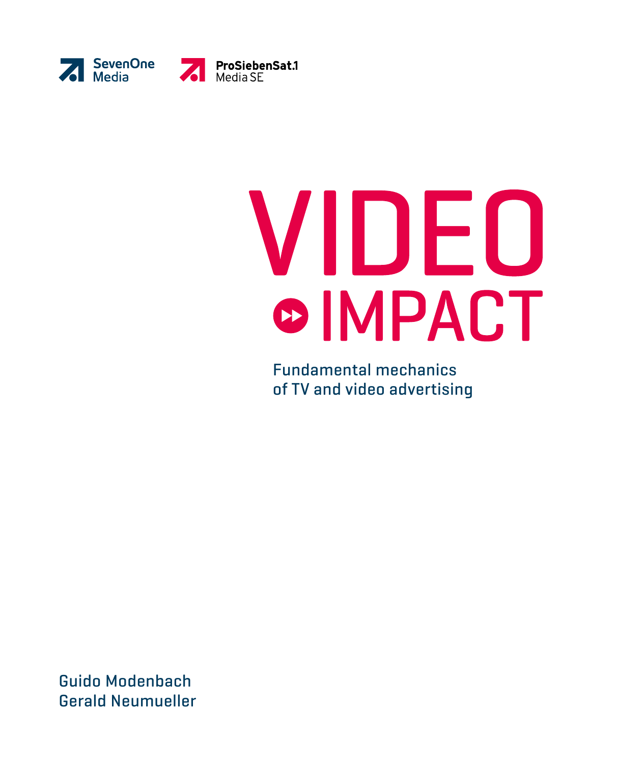



# VIDEO **OIMPACT**

Fundamental mechanics of TV and video advertising

Guido Modenbach Gerald Neumueller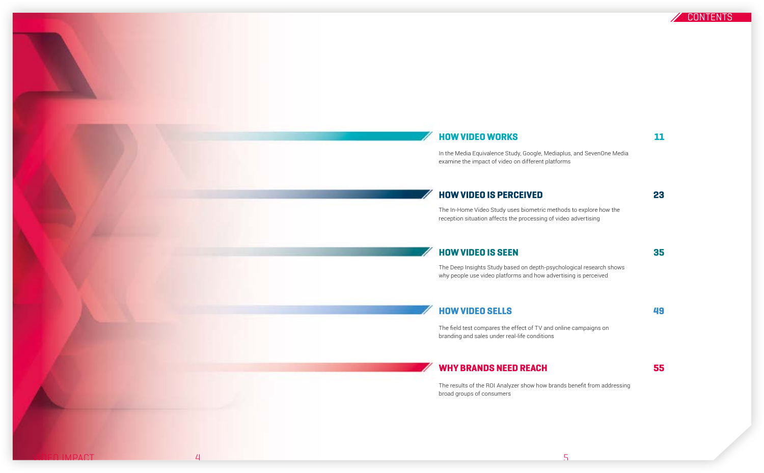

# HOW VIDEO WORKS **11**

In the Media Equivalence Study, Google, Mediaplus, and SevenOne Media examine the impact of video on different platforms

# [HOW VIDEO IS PERCEIVED](#page-10-0) 23

The In-Home Video Study uses biometric methods to explore how the reception situation affects the processing of video advertising

# [HOW VIDEO IS SEEN](#page-16-0) 35

The Deep Insights Study based on depth-psychological research shows why people use video platforms and how advertising is perceived

[HOW VIDEO SELLS](#page-23-0) 49

The field test compares the effect of TV and online campaigns on branding and sales under real-life conditions

# [WHY BRANDS NEED REACH 55](#page-26-0)

The results of the ROI Analyzer show how brands benefit from addressing broad groups of consumers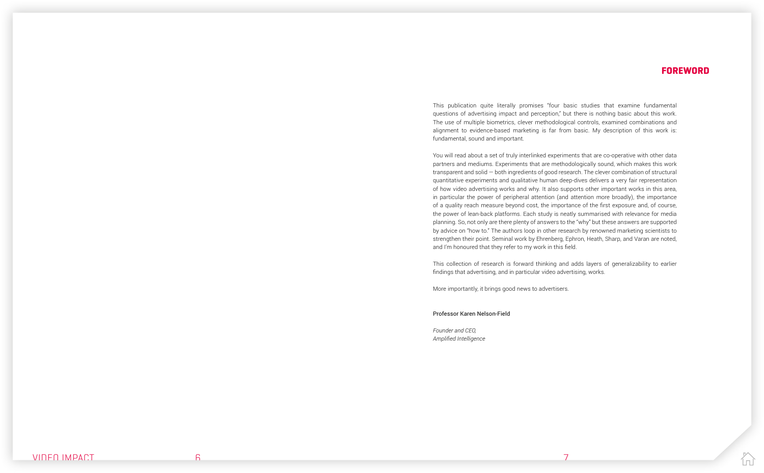# FOREWORD

This publication quite literally promises "four basic studies that examine fundamental questions of advertising impact and perception," but there is nothing basic about this work. The use of multiple biometrics, clever methodological controls, examined combinations and alignment to evidence-based marketing is far from basic. My description of this work is: fundamental, sound and important.

You will read about a set of truly interlinked experiments that are co-operative with other data partners and mediums. Experiments that are methodologically sound, which makes this work transparent and solid — both ingredients of good research. The clever combination of structural quantitative experiments and qualitative human deep-dives delivers a very fair representation of how video advertising works and why. It also supports other important works in this area, in particular the power of peripheral attention (and attention more broadly), the importance of a quality reach measure beyond cost, the importance of the first exposure and, of course, the power of lean-back platforms. Each study is neatly summarised with relevance for media planning. So, not only are there plenty of answers to the "why" but these answers are supported by advice on "how to." The authors loop in other research by renowned marketing scientists to strengthen their point. Seminal work by Ehrenberg, Ephron, Heath, Sharp, and Varan are noted, and I'm honoured that they refer to my work in this field.

This collection of research is forward thinking and adds layers of generalizability to earlier findings that advertising, and in particular video advertising, works.

More importantly, it brings good news to advertisers.

Professor Karen Nelson-Field

*Founder and CEO, Amplified Intelligence*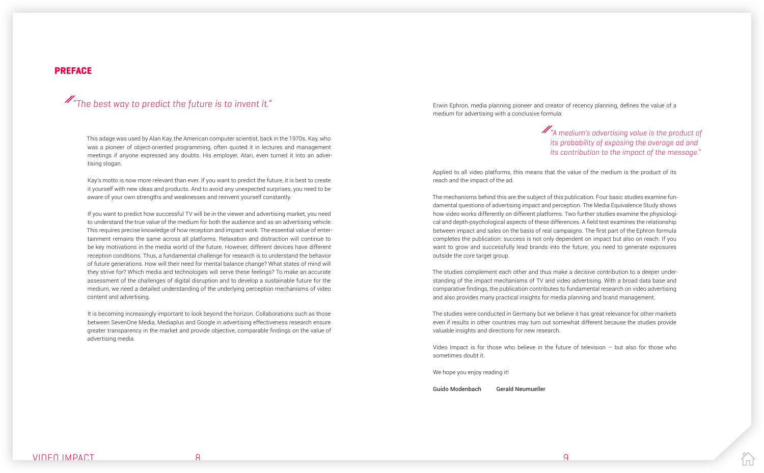## PREFACE

Erwin Ephron, media planning pioneer and creator of recency planning, defines the value of a medium for advertising with a conclusive formula:

Applied to all video platforms, this means that the value of the medium is the product of its reach and the impact of the ad.

The mechanisms behind this are the subject of this publication. Four basic studies examine fundamental questions of advertising impact and perception. The Media Equivalence Study shows how video works differently on different platforms. Two further studies examine the physiological and depth-psychological aspects of these differences. A field test examines the relationship between impact and sales on the basis of real campaigns. The first part of the Ephron formula completes the publication: success is not only dependent on impact but also on reach. If you want to grow and successfully lead brands into the future, you need to generate exposures outside the core target group.

The studies complement each other and thus make a decisive contribution to a deeper understanding of the impact mechanisms of TV and video advertising. With a broad data base and comparative findings, the publication contributes to fundamental research on video advertising and also provides many practical insights for media planning and brand management.

The studies were conducted in Germany but we believe it has great relevance for other markets even if results in other countries may turn out somewhat different because the studies provide valuable insights and directions for new research.

Video Impact is for those who believe in the future of television – but also for those who sometimes doubt it.

We hope you enjoy reading it!

Guido Modenbach Gerald Neumueller

# $\mathscr{M}_{\mathscr{A}}$  medium's advertising value is the product of its probability of exposing the average ad and its contribution to the impact of the message."

This adage was used by Alan Kay, the American computer scientist, back in the 1970s. Kay, who was a pioneer of object-oriented programming, often quoted it in lectures and management meetings if anyone expressed any doubts. His employer, Atari, even turned it into an advertising slogan.

Kay's motto is now more relevant than ever. If you want to predict the future, it is best to create it yourself with new ideas and products. And to avoid any unexpected surprises, you need to be aware of your own strengths and weaknesses and reinvent yourself constantly.

If you want to predict how successful TV will be in the viewer and advertising market, you need to understand the true value of the medium for both the audience and as an advertising vehicle. This requires precise knowledge of how reception and impact work. The essential value of entertainment remains the same across all platforms. Relaxation and distraction will continue to be key motivations in the media world of the future. However, different devices have different reception conditions. Thus, a fundamental challenge for research is to understand the behavior of future generations. How will their need for mental balance change? What states of mind will they strive for? Which media and technologies will serve these feelings? To make an accurate assessment of the challenges of digital disruption and to develop a sustainable future for the medium, we need a detailed understanding of the underlying perception mechanisms of video content and advertising.

It is becoming increasingly important to look beyond the horizon. Collaborations such as those between SevenOne Media, Mediaplus and Google in advertising effectiveness research ensure greater transparency in the market and provide objective, comparable findings on the value of advertising media.

# "The best way to predict the future is to invent it."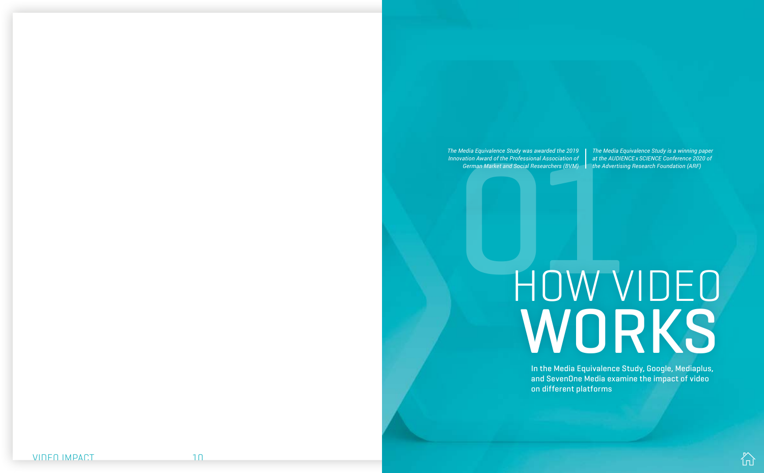In the Media Equivalence Study, Google, Mediaplus, and SevenOne Media examine the impact of video on different platforms

# Media Equivalence Study was awarded the 2019<br>
Ovation Award of the Professional Association of and the AUDIENCE XSCIENCE Conference 2020 of<br>
German Market and Social Researchers (BVM) the Advertising Research Foundation (A WORKS



<span id="page-4-0"></span>*The Media Equivalence Study was awarded the 2019 Innovation Award of the Professional Association of German Market and Social Researchers (BVM)*

*The Media Equivalence Study is a winning paper at the AUDIENCE x SCIENCE Conference 2020 of the Advertising Research Foundation (ARF)*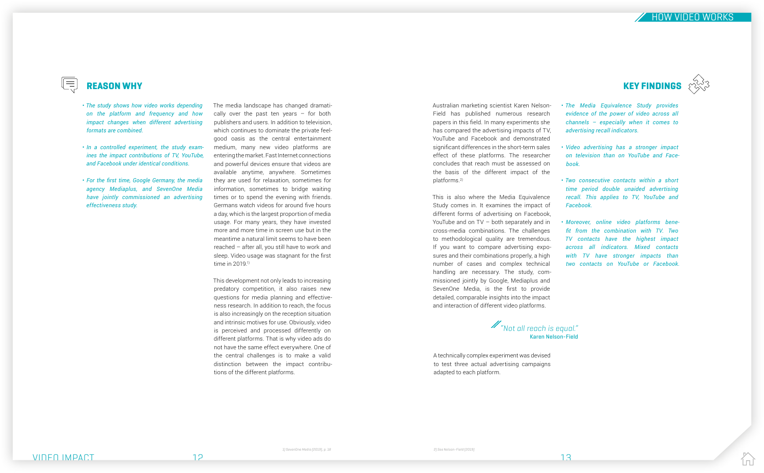$\equiv$ 

HOW VIDEO WORKS

The media landscape has changed dramatically over the past ten years  $-$  for both publishers and users. In addition to television, which continues to dominate the private feelgood oasis as the central entertainment medium, many new video platforms are entering the market. Fast Internet connections and powerful devices ensure that videos are available anytime, anywhere. Sometimes they are used for relaxation, sometimes for information, sometimes to bridge waiting times or to spend the evening with friends. Germans watch videos for around five hours a day, which is the largest proportion of media usage. For many years, they have invested more and more time in screen use but in the meantime a natural limit seems to have been reached – after all, you still have to work and sleep. Video usage was stagnant for the first time in 2019<sup>1</sup>)

This development not only leads to increasing predatory competition, it also raises new questions for media planning and effectiveness research. In addition to reach, the focus is also increasingly on the reception situation and intrinsic motives for use. Obviously, video is perceived and processed differently on different platforms. That is why video ads do not have the same effect everywhere. One of the central challenges is to make a valid distinction between the impact contributions of the different platforms.





*The Media Equivalence Study provides*  • *evidence of the power of video across all channels – especially when it comes to advertising recall indicators.*

*Video advertising has a stronger impact*  • *on television than on YouTube and Facebook.* 

*Two consecutive contacts within a short*  • *time period double unaided advertising recall. This applies to TV, YouTube and Facebook.* 



*Moreover, online video platforms bene-*• *fit from the combination with TV. Two TV contacts have the highest impact across all indicators. Mixed contacts with TV have stronger impacts than two contacts on YouTube or Facebook.* 

- *The study shows how video works depending on the platform and frequency and how impact changes when different advertising formats are combined.*
- *In a controlled experiment, the study exam- ines the impact contributions of TV, YouTube, and Facebook under identical conditions.*
- *For the first time, Google Germany, the media agency Mediaplus, and SevenOne Media have jointly commissioned an advertising effectiveness study.*

Australian marketing scientist Karen Nelson-Field has published numerous research papers in this field. In many experiments she has compared the advertising impacts of TV, YouTube and Facebook and demonstrated significant differences in the short-term sales effect of these platforms. The researcher concludes that reach must be assessed on the basis of the different impact of the platforms.2)

This is also where the Media Equivalence Study comes in. It examines the impact of different forms of advertising on Facebook, YouTube and on TV – both separately and in cross-media combinations. The challenges to methodological quality are tremendous. If you want to compare advertising exposures and their combinations properly, a high number of cases and complex technical handling are necessary. The study, commissioned jointly by Google, Mediaplus and SevenOne Media, is the first to provide detailed, comparable insights into the impact and interaction of different video platforms.

A technically complex experiment was devised to test three actual advertising campaigns adapted to each platform.

"Not all reach is equal." Karen Nelson-Field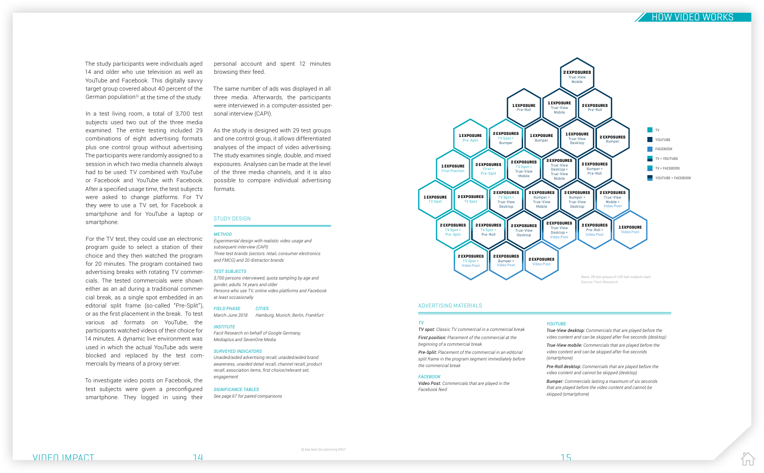# HOW VIDEO WORKS

#### ADVERTISING MATERIALS

#### STUDY DESIGN

#### *METHOD*

The study participants were individuals aged 14 and older who use television as well as YouTube and Facebook. This digitally savvy target group covered about 40 percent of the German population<sup>3)</sup> at the time of the study.

> *Experimental design with realistic video usage and subsequent interview (CAPI) Three test brands (sectors: retail, consumer electronics and FMCG) and 20 distractor brands*

In a test living room, a total of 3,700 test subjects used two out of the three media examined. The entire testing included 29 combinations of eight advertising formats plus one control group without advertising. The participants were randomly assigned to a session in which two media channels always had to be used: TV combined with YouTube or Facebook and YouTube with Facebook. After a specified usage time, the test subjects were asked to change platforms. For TV they were to use a TV set, for Facebook a smartphone and for YouTube a laptop or smartphone

#### *TEST SUBJECTS*

*3,700 persons interviewed, quota sampling by age and gender, adults 14 years and older Persons who use TV, online video platforms and Facebook at least occasionally* 

*FIELD PHASE CITIES March-June 2018 Hamburg, Munich, Berlin, Frankfurt*

# *INSTITUTE*

*Facit Research on behalf of Google Germany, Mediaplus and SevenOne Media*

#### *SURVEYED INDICATORS*

*Unaided/aided advertising recall, unaided/aided brand awareness, unaided detail recall, channel recall, product recall, association items, first choice/relevant set, engagement*

*SIGNIFICANCE TABLES See page 67 for paired comparisons*

#### *TV*

*TV spot: Classic TV commercial in a commercial break First position: Placement of the commercial at the* 

*beginning of a commercial break* 

*Pre-Split: Placement of the commercial in an editorial split frame in the program segment immediately before* 

*the commercial break* 

*FACEBOOK* 

*Video Post: Commercials that are played in the* 

*Facebook feed* 



For the TV test, they could use an electronic program guide to select a station of their choice and they then watched the program for 20 minutes. The program contained two advertising breaks with rotating TV commercials. The tested commercials were shown either as an ad during a traditional commercial break, as a single spot embedded in an editorial split frame (so-called "Pre-Split"), or as the first placement in the break. To test various ad formats on YouTube, the participants watched videos of their choice for 14 minutes. A dynamic live environment was used in which the actual YouTube ads were blocked and replaced by the test commercials by means of a proxy server.

To investigate video posts on Facebook, the test subjects were given a preconfigured smartphone. They logged in using their

# *YOUTUBE*

*True-View desktop: Commercials that are played before the video content and can be skipped after five seconds (desktop)*

*True-View mobile: Commercials that are played before the video content and can be skipped after five seconds* 

*(smartphone)*

*Pre-Roll desktop: Commercials that are played before the video content and cannot be skipped (desktop)*

*Bumper: Commercials lasting a maximum of six seconds that are played before the video content and cannot be* 

*skipped (smartphone)*

# VIDEO IMPACT **14** 14 15 15

personal account and spent 12 minutes browsing their feed.

The same number of ads was displayed in all three media. Afterwards, the participants were interviewed in a computer-assisted personal interview (CAPI).

As the study is designed with 29 test groups and one control group, it allows differentiated analyses of the impact of video advertising. The study examines single, double, and mixed exposures. Analyses can be made at the level of the three media channels, and it is also possible to compare individual advertising formats.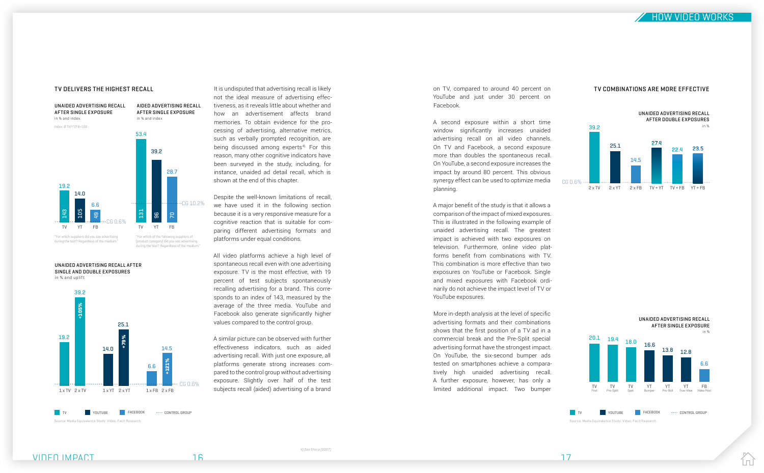

not the ideal measure of advertising effectiveness, as it reveals little about whether and how an advertisement affects brand memories. To obtain evidence for the processing of advertising, alternative metrics, such as verbally prompted recognition, are being discussed among experts<sup>4).</sup> For this reason, many other cognitive indicators have been surveyed in the study, including, for instance, unaided ad detail recall, which is shown at the end of this chapter.

Despite the well-known limitations of recall, we have used it in the following section because it is a very responsive measure for a cognitive reaction that is suitable for comparing different advertising formats and platforms under equal conditions.

All video platforms achieve a high level of spontaneous recall even with one advertising exposure. TV is the most effective, with 19 percent of test subjects spontaneously recalling advertising for a brand. This corresponds to an index of 143, measured by the average of the three media. YouTube and Facebook also generate significantly higher values compared to the control group.



during the test? Regardless of the medium

on TV, compared to around 40 percent on YouTube and just under 30 percent on Facebook.

A second exposure within a short time window significantly increases unaided advertising recall on all video channels. On TV and Facebook, a second exposure more than doubles the spontaneous recall. On YouTube, a second exposure increases the impact by around 80 percent. This obvious synergy effect can be used to optimize media planning.

[product category] did you see advertising  $u$  aring the test? Regardless of the medium.

A similar picture can be observed with further effectiveness indicators, such as aided advertising recall. With just one exposure, all platforms generate strong increases compared to the control group without advertising exposure. Slightly over half of the test subjects recall (aided) advertising of a brand limited additional impact. Two bumper 1 x YT

A major benefit of the study is that it allows a comparison of the impact of mixed exposures. This is illustrated in the following example of unaided advertising recall. The greatest impact is achieved with two exposures on television. Furthermore, online video platforms benefit from combinations with TV. This combination is more effective than two exposures on YouTube or Facebook. Single and mixed exposures with Facebook ordinarily do not achieve the impact level of TV or YouTube exposures.

More in-depth analysis at the level of specific advertising formats and their combinations shows that the first position of a TV ad in a commercial break and the Pre-Split special advertising format have the strongest impact. On YouTube, the six-second bumper ads tested on smartphones achieve a comparatively high unaided advertising recall. A further exposure, however, has only a



#### TV DELIVERS THE HIGHEST RECALL It is undisputed that advertising recall is likely on TV, compared to around 40 percent on TV COMBINATIONS ARE MORE EFFECTIVE

UNAIDED ADVERTISING RECALL AFTER SINGLE AND DOUBLE EXPOSURES in % and uplift





IпÍ

Source: Media Equivalence Study: Video, Facit Research.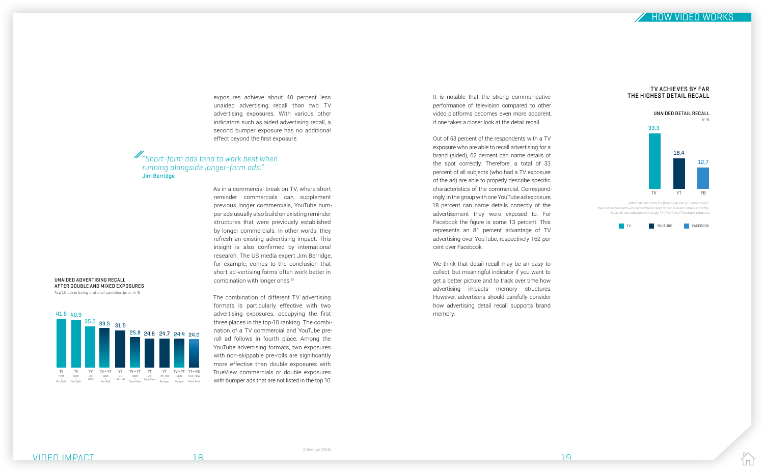

exposures achieve about 40 percent less unaided advertising recall than two TV advertising exposures. With various other indicators such as aided advertising recall, a second bumper exposure has no additional effect beyond the first exposure.

As in a commercial break on TV, where short reminder commercials can supplement previous longer commercials, YouTube bumper ads usually also build on existing reminder structures that were previously established by longer commercials. In other words, they refresh an existing advertising impact. This insight is also confirmed by international research. The US media expert Jim Berridge, for example, comes to the conclusion that short ad-vertising forms often work better in combination with longer ones.5)

It is notable that the strong communicative performance of television compared to other video platforms becomes even more apparent, if one takes a closer look at the detail recall.

The combination of different TV advertising formats is particularly effective with two advertising exposures, occupying the first three places in the top-10 ranking. The combination of a TV commercial and YouTube preroll ad follows in fourth place. Among the YouTube advertising formats, two exposures with non-skippable pre-rolls are significantly more effective than double exposures with TrueView commercials or double exposures with bumper ads that are not listed in the top 10.

Out of 53 percent of the respondents with a TV exposure who are able to recall advertising for a brand (aided), 62 percent can name details of the spot correctly. Therefore, a total of 33 percent of all subjects (who had a TV exposure of the ad) are able to properly describe specific characteristics of the commercial. Correspondingly, in the group with one YouTube ad exposure, 18 percent can name details correctly of the advertisement they were exposed to. For Facebook the figure is some 13 percent. This represents an 81 percent advantage of TV advertising over YouTube, respectively 162 percent over Facebook.

We think that detail recall may be an easy to collect, but meaningful indicator if you want to get a better picture and to track over time how advertising impacts memory structures. However, advertisers should carefully consider how advertising detail recall supports brand memory.

# "Short-form ads tend to work best when running alongside longer-form ads." Jim Berridge



UNAIDED ADVERTISING RECALL AFTER DOUBLE AND MIXED EXPOSURES Top 10 advertising material combinations; in %



"Which details from the [brand] ad can you remember?" Share of respondents who remembered specific ad-relevant details correctly. Base: all test subjects with single TV / YouTube / Facebook exposure



#### TV ACHIEVES BY FAR THE HIGHEST DETAIL RECALL

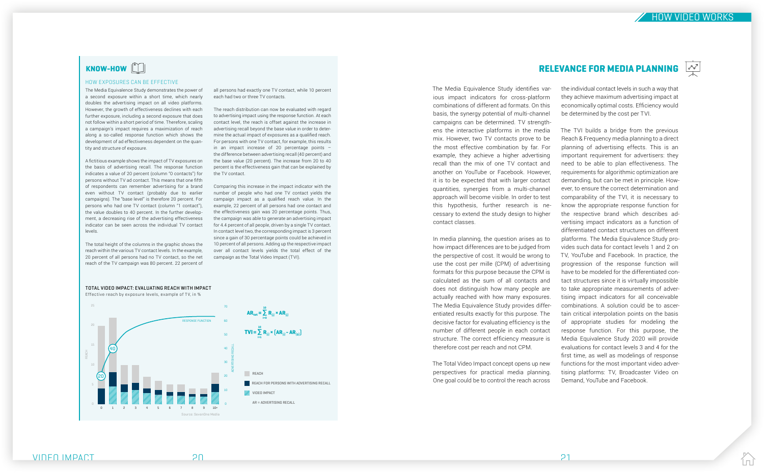# KNOW-HOW **FILL**

HOW VIDEO WORKS

# RELEVANCE FOR MEDIA PLANNING



IпÍ

The Media Equivalence Study identifies various impact indicators for cross-platform combinations of different ad formats. On this basis, the synergy potential of multi-channel campaigns can be determined. TV strengthens the interactive platforms in the media mix. However, two TV contacts prove to be the most effective combination by far. For example, they achieve a higher advertising recall than the mix of one TV contact and another on YouTube or Facebook. However, it is to be expected that with larger contact quantities, synergies from a multi-channel approach will become visible. In order to test this hypothesis, further research is necessary to extend the study design to higher contact classes.

In media planning, the question arises as to how impact differences are to be judged from the perspective of cost. It would be wrong to use the cost per mille (CPM) of advertising formats for this purpose because the CPM is calculated as the sum of all contacts and does not distinguish how many people are actually reached with how many exposures. The Media Equivalence Study provides differentiated results exactly for this purpose. The decisive factor for evaluating efficiency is the number of different people in each contact structure. The correct efficiency measure is therefore cost per reach and not CPM.

The Total Video Impact concept opens up new perspectives for practical media planning. One goal could be to control the reach across

the individual contact levels in such a way that they achieve maximum advertising impact at economically optimal costs. Efficiency would be determined by the cost per TVI.

The total height of the columns in the graphic shows the reach within the various TV contact levels. In the example, 20 percent of all persons had no TV contact, so the net reach of the TV campaign was 80 percent. 22 percent of

The TVI builds a bridge from the previous Reach & Frequency media planning to a direct planning of advertising effects. This is an important requirement for advertisers: they need to be able to plan effectiveness. The requirements for algorithmic optimization are demanding, but can be met in principle. However, to ensure the correct determination and comparability of the TVI, it is necessary to know the appropriate response function for the respective brand which describes advertising impact indicators as a function of differentiated contact structures on different platforms. The Media Equivalence Study provides such data for contact levels 1 and 2 on TV, YouTube and Facebook. In practice, the progression of the response function will have to be modeled for the differentiated contact structures since it is virtually impossible to take appropriate measurements of advertising impact indicators for all conceivable combinations. A solution could be to ascertain critical interpolation points on the basis of appropriate studies for modeling the response function. For this purpose, the Media Equivalence Study 2020 will provide evaluations for contact levels 3 and 4 for the first time, as well as modelings of response functions for the most important video advertising platforms: TV, Broadcaster Video on Demand, YouTube and Facebook.

#### HOW EXPOSURES CAN BE EFFECTIVE

 $AR_{\text{tot}} = \sum_{i=0}^{10} R_{(i)} \times AR_{(i)}$  $TVI = \sum_{i=1}^{10} R_{(i)} * [AR_{(i)} - AR_{(0)}]$ **REACH REACH FOR PERSONS WITH ADVERTISING RECALL WE** VIDEO IMPACT Source: SevenOne Media 25 0 1 2 3 4 5 6 7 8 9 10+ 70 60 50 40 30 20 10 40 20 REACH RESPONSE FUNCTION ADVERTISING RECALL i=1 AR = ADVERTISING RECALL

The Media Equivalence Study demonstrates the power of a second exposure within a short time, which nearly doubles the advertising impact on all video platforms. However, the growth of effectiveness declines with each further exposure, including a second exposure that does not follow within a short period of time. Therefore, scaling a campaign's impact requires a maximization of reach along a so-called response function which shows the development of ad effectiveness dependent on the quantity and structure of exposure.

A fictitious example shows the impact of TV exposures on the basis of advertising recall. The response function indicates a value of 20 percent (column "0 contacts") for persons without TV ad contact. This means that one fifth of respondents can remember advertising for a brand even without TV contact (probably due to earlier campaigns). The "base level" is therefore 20 percent. For persons who had one TV contact (column "1 contact"), the value doubles to 40 percent. In the further development, a decreasing rise of the advertising effectiveness indicator can be seen across the individual TV contact levels.

all persons had exactly one TV contact, while 10 percent each had two or three TV contacts.

The reach distribution can now be evaluated with regard to advertising impact using the response function. At each contact level, the reach is offset against the increase in advertising recall beyond the base value in order to determine the actual impact of exposures as a qualified reach. For persons with one TV contact, for example, this results in an impact increase of 20 percentage points  $$ the difference between advertising recall (40 percent) and the base value (20 percent). The increase from 20 to 40 percent is the effectiveness gain that can be explained by the TV contact.

Comparing this increase in the impact indicator with the number of people who had one TV contact yields the campaign impact as a qualified reach value. In the example, 22 percent of all persons had one contact and the effectiveness gain was 20 percentage points. Thus, the campaign was able to generate an advertising impact for 4.4 percent of all people, driven by a single TV contact. In contact level two, the corresponding impact is 3 percent since a gain of 30 percentage points could be achieved in 10 percent of all persons. Adding up the respective impact over all contact levels yields the total effect of the campaign as the Total Video Impact (TVI).

TOTAL VIDEO IMPACT: EVALUATING REACH WITH IMPACT Effective reach by exposure levels, example of TV, in %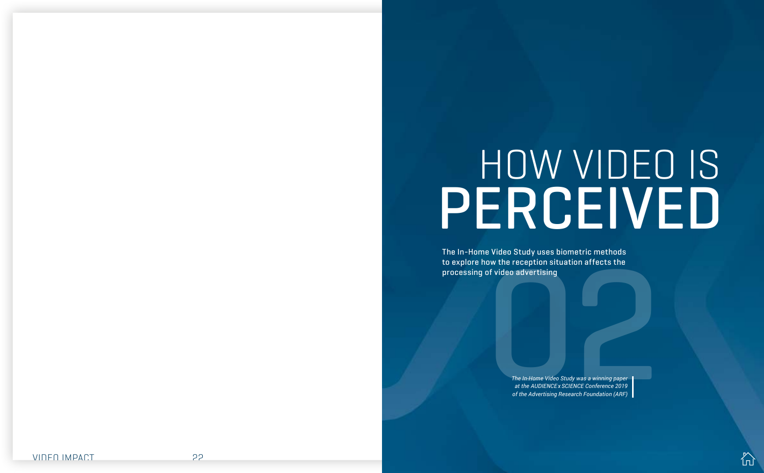

e video Study uses blometric methods<br>ow the reception situation affects the<br>of video advertising<br> $\frac{1}{2}$ <br> $\frac{1}{2}$ <br> $\frac{1}{2}$   $\frac{1}{2}$   $\frac{1}{2}$   $\frac{1}{2}$   $\frac{1}{2}$   $\frac{1}{2}$   $\frac{1}{2}$   $\frac{1}{2}$   $\frac{1}{2}$   $\frac{1}{2}$   $\frac{1$ The In-Home Video Study uses biometric methods to explore how the reception situation affects the processing of video advertising

*The In-Home Video Study was a winning paper at the AUDIENCE x SCIENCE Conference 2019 of the Advertising Research Foundation (ARF)* 

# <span id="page-10-0"></span>HOW VIDEO IS PERCEIVED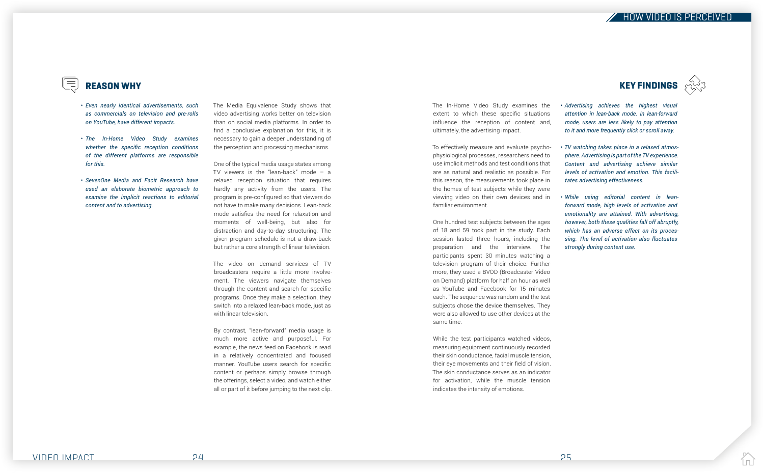HOW VIDEO IS PERCEIVED

VIDEO IMPACT 24 25

# REASON WHY

 $\sqrt{\frac{1}{2}}$ 

- *Even nearly identical advertisements, such as commercials on television and pre-rolls on YouTube, have different impacts.*
- *The In-Home Video Study examines whether the specific reception conditions of the different platforms are responsible for this.*
- *SevenOne Media and Facit Research have used an elaborate biometric approach to examine the implicit reactions to editorial content and to advertising.*

*Advertising achieves the highest visual*  • *attention in lean-back mode. In lean-forward mode, users are less likely to pay attention to it and more frequently click or scroll away.*

*TV watching takes place in a relaxed atmos-*• *phere. Advertising is part of the TV experience. Content and advertising achieve similar levels of activation and emotion. This facilitates advertising effectiveness.* 

*While using editorial content in lean-*• *forward mode, high levels of activation and emotionality are attained. With advertising, however, both these qualities fall off abruptly, which has an adverse effect on its processing. The level of activation also fluctuates strongly during content use.*





The Media Equivalence Study shows that video advertising works better on television than on social media platforms. In order to find a conclusive explanation for this, it is necessary to gain a deeper understanding of the perception and processing mechanisms.

One of the typical media usage states among TV viewers is the "lean-back" mode – a relaxed reception situation that requires hardly any activity from the users. The program is pre-configured so that viewers do not have to make many decisions. Lean-back mode satisfies the need for relaxation and moments of well-being, but also for distraction and day-to-day structuring. The given program schedule is not a draw-back but rather a core strength of linear television.

The video on demand services of TV broadcasters require a little more involvement. The viewers navigate themselves through the content and search for specific programs. Once they make a selection, they switch into a relaxed lean-back mode, just as with linear television.

By contrast, "lean-forward" media usage is much more active and purposeful. For example, the news feed on Facebook is read in a relatively concentrated and focused manner. YouTube users search for specific content or perhaps simply browse through the offerings, select a video, and watch either all or part of it before jumping to the next clip. The In-Home Video Study examines the extent to which these specific situations influence the reception of content and, ultimately, the advertising impact.

To effectively measure and evaluate psychophysiological processes, researchers need to use implicit methods and test conditions that are as natural and realistic as possible. For this reason, the measurements took place in the homes of test subjects while they were viewing video on their own devices and in familiar environment.

One hundred test subjects between the ages of 18 and 59 took part in the study. Each session lasted three hours, including the preparation and the interview. The participants spent 30 minutes watching a television program of their choice. Furthermore, they used a BVOD (Broadcaster Video on Demand) platform for half an hour as well as YouTube and Facebook for 15 minutes each. The sequence was random and the test subjects chose the device themselves. They were also allowed to use other devices at the same time.

While the test participants watched videos, measuring equipment continuously recorded their skin conductance, facial muscle tension, their eye movements and their field of vision. The skin conductance serves as an indicator for activation, while the muscle tension indicates the intensity of emotions.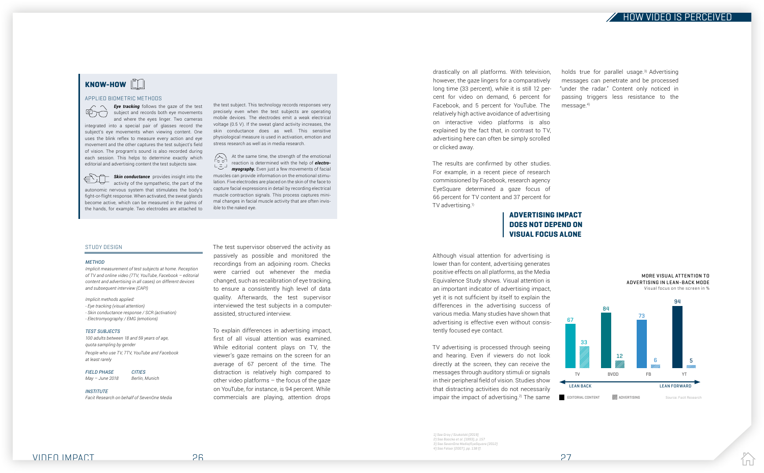

holds true for parallel usage.<sup>3)</sup> Advertising messages can penetrate and be processed "under the radar." Content only noticed in passing triggers less resistance to the message.<sup>4)</sup>



#### STUDY DESIGN

#### *METHOD*

*Implicit measurement of test subjects at home. Reception of TV and online video (7TV, YouTube, Facebook – editorial content and advertising in all cases) on different devices and subsequent interview (CAPI)*

*Implicit methods applied: - Eye tracking (visual attention) - Skin conductance response / SCR (activation) - Electromyography / EMG (emotions)*

#### *TEST SUBJECTS*

*100 adults between 18 and 59 years of age, quota sampling by gender People who use TV, 7TV, YouTube and Facebook at least rarely*

*FIELD PHASE CITIES*

*May – June 2018 Berlin, Munich*

*INSTITUTE Facit Research on behalf of SevenOne Media* The test supervisor observed the activity as passively as possible and monitored the recordings from an adjoining room. Checks were carried out whenever the media changed, such as recalibration of eye tracking, to ensure a consistently high level of data quality. Afterwards, the test supervisor interviewed the test subjects in a computerassisted, structured interview.

The results are confirmed by other studies. For example, in a recent piece of research commissioned by Facebook, research agency EyeSquare determined a gaze focus of 66 percent for TV content and 37 percent for TV advertising.<sup>1)</sup>

To explain differences in advertising impact, first of all visual attention was examined. While editorial content plays on TV, the viewer's gaze remains on the screen for an average of 67 percent of the time. The distraction is relatively high compared to other video platforms – the focus of the gaze on YouTube, for instance, is 94 percent. While commercials are playing, attention drops

TV advertising is processed through seeing and hearing. Even if viewers do not look directly at the screen, they can receive the messages through auditory stimuli or signals in their peripheral field of vision. Studies show that distracting activities do not necessarily impair the impact of advertising. $2$  The same

drastically on all platforms. With television, however, the gaze lingers for a comparatively long time (33 percent), while it is still 12 percent for video on demand, 6 percent for Facebook, and 5 percent for YouTube. The relatively high active avoidance of advertising on interactive video platforms is also explained by the fact that, in contrast to TV, advertising here can often be simply scrolled or clicked away.

**Eye tracking** follows the gaze of the test  $\phi$   $\pi$  ) subject and records both eye movements and where the eyes linger. Two cameras integrated into a special pair of glasses record the subject's eye movements when viewing content. One uses the blink reflex to measure every action and eye movement and the other captures the test subject's field of vision. The program's sound is also recorded during each session. This helps to determine exactly which editorial and advertising content the test subjects saw.

**Skin conductance** provides insight into the activity of the sympathetic, the part of the autonomic nervous system that stimulates the body's fight-or-flight response. When activated, the sweat glands become active, which can be measured in the palms of the hands, for example. Two electrodes are attached to

> Although visual attention for advertising is lower than for content, advertising generates positive effects on all platforms, as the Media Equivalence Study shows. Visual attention is an important indicator of advertising impact, yet it is not sufficient by itself to explain the differences in the advertising success of various media. Many studies have shown that advertising is effective even without consistently focused eye contact.

A At the same time, the strength of the emotional  $\sqrt{2}$ reaction is determined with the help of *electro-* $\begin{array}{c} \mathsf{L} \xrightarrow{\sim} \mathsf{J} \end{array}$ *myography.* Even just a few movements of facial muscles can provide information on the emotional stimulation. Five electrodes are placed on the skin of the face to capture facial expressions in detail by recording electrical muscle contraction signals. This process captures minimal changes in facial muscle activity that are often invisible to the naked eye.



EDITORIAL CONTENT **ADVERTISING** 

# KNOW-HOW

#### APPLIED BIOMETRIC METHODS

the test subject. This technology records responses very precisely even when the test subjects are operating mobile devices. The electrodes emit a weak electrical voltage (0.5 V). If the sweat gland activity increases, the skin conductance does as well. This sensitive physiological measure is used in activation, emotion and stress research as well as in media research.

# ADVERTISING IMPACT DOES NOT DEPEND ON VISUAL FOCUS ALONE



67

Source: Facit Research

l n l

 1) See Gray / Szukalski (2019) 2) See Baacke et al. (1993), p. 157 3) See SevenOne Media/EyeSquare (2012) 4) See Felser (2007), pp. 138 ff.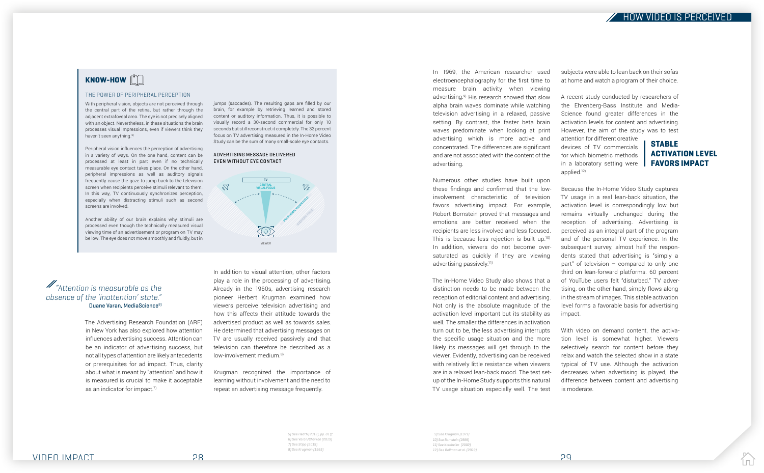

The Advertising Research Foundation (ARF) in New York has also explored how attention influences advertising success. Attention can be an indicator of advertising success, but not all types of attention are likely antecedents or prerequisites for ad impact. Thus, clarity about what is meant by "attention" and how it is measured is crucial to make it acceptable as an indicator for impact.<sup>7)</sup>

In addition to visual attention, other factors play a role in the processing of advertising. Already in the 1960s, advertising research pioneer Herbert Krugman examined how viewers perceive television advertising and how this affects their attitude towards the advertised product as well as towards sales. He determined that advertising messages on TV are usually received passively and that television can therefore be described as a low-involvement medium.<sup>8)</sup>

Krugman recognized the importance of learning without involvement and the need to repeat an advertising message frequently.

# ACTIVATION LEVEL FAVORS IMPACT

In 1969, the American researcher used electroencephalography for the first time to measure brain activity when viewing advertising.9) His research showed that slow alpha brain waves dominate while watching television advertising in a relaxed, passive setting. By contrast, the faster beta brain waves predominate when looking at print advertising which is more active and concentrated. The differences are significant and are not associated with the content of the advertising.

Numerous other studies have built upon these findings and confirmed that the lowinvolvement characteristic of television favors advertising impact. For example, Robert Bornstein proved that messages and emotions are better received when the recipients are less involved and less focused. This is because less rejection is built up.<sup>10)</sup> In addition, viewers do not become oversaturated as quickly if they are viewing advertising passively.11)

STABLE A recent study conducted by researchers of the Ehrenberg-Bass Institute and Media-Science found greater differences in the activation levels for content and advertising. However, the aim of the study was to test attention for different creative devices of TV commercials for which biometric methods in a laboratory setting were applied.12)

With peripheral vision, objects are not perceived through the central part of the retina, but rather through the adjacent extrafoveal area. The eye is not precisely aligned with an object. Nevertheless, in these situations the brain processes visual impressions, even if viewers think they haven't seen anything.<sup>5)</sup>

> The In-Home Video Study also shows that a distinction needs to be made between the reception of editorial content and advertising. Not only is the absolute magnitude of the activation level important but its stability as well. The smaller the differences in activation turn out to be, the less advertising interrupts the specific usage situation and the more likely its messages will get through to the viewer. Evidently, advertising can be received with relatively little resistance when viewers are in a relaxed lean-back mood. The test setup of the In-Home Study supports this natural TV usage situation especially well. The test

subjects were able to lean back on their sofas at home and watch a program of their choice.

Because the In-Home Video Study captures TV usage in a real lean-back situation, the activation level is correspondingly low but remains virtually unchanged during the reception of advertising. Advertising is perceived as an integral part of the program and of the personal TV experience. In the subsequent survey, almost half the respondents stated that advertising is "simply a part" of television – compared to only one third on lean-forward platforms. 60 percent of YouTube users felt "disturbed." TV advertising, on the other hand, simply flows along in the stream of images. This stable activation level forms a favorable basis for advertising impact.

With video on demand content, the activation level is somewhat higher. Viewers selectively search for content before they relax and watch the selected show in a state typical of TV use. Although the activation decreases when advertising is played, the difference between content and advertising is moderate.

# $KNOW-HOW$

#### THE POWER OF PERIPHERAL PERCEPTION

Peripheral vision influences the perception of advertising in a variety of ways. On the one hand, content can be processed at least in part even if no technically measurable eye contact takes place. On the other hand, peripheral impressions as well as auditory signals frequently cause the gaze to jump back to the television screen when recipients perceive stimuli relevant to them. In this way, TV continuously synchronizes perception, especially when distracting stimuli such as second screens are involved.

Another ability of our brain explains why stimuli are processed even though the technically measured visual viewing time of an advertisement or program on TV may be low. The eye does not move smoothly and fluidly, but in jumps (saccades). The resulting gaps are filled by our brain, for example by retrieving learned and stored content or auditory information. Thus, it is possible to visually record a 30-second commercial for only 10 seconds but still reconstruct it completely. The 33 percent focus on TV advertising measured in the In-Home Video Study can be the sum of many small-scale eye contacts.

> 9) See Krugman (1971) 10) See Bornstein (1989) 11) See Nordheilm (2002) 12) See Bellman et al. (2019)



# $\mathscr{M}_\text{a}$  attention is measurable as the absence of the 'inattention' state." Duane Varan, MediaScience<sup>6)</sup>

#### ADVERTISING MESSAGE DELIVERED EVEN WITHOUT EYE CONTACT

5) See Heath (2012), pp. 81 ff. 6) See Varan/Charron (2019) 7) See Stipp (2019) 8) See Krugman (1965)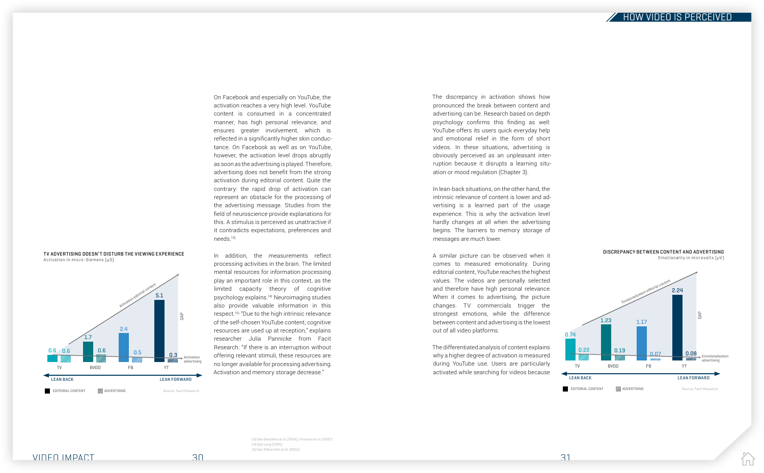

On Facebook and especially on YouTube, the activation reaches a very high level. YouTube content is consumed in a concentrated manner, has high personal relevance, and ensures greater involvement, which is reflected in a significantly higher skin conductance. On Facebook as well as on YouTube, however, the activation level drops abruptly as soon as the advertising is played. Therefore, advertising does not benefit from the strong activation during editorial content. Quite the contrary: the rapid drop of activation can represent an obstacle for the processing of the advertising message. Studies from the field of neuroscience provide explanations for this. A stimulus is perceived as unattractive if it contradicts expectations, preferences and needs.13)

In addition, the measurements reflect processing activities in the brain. The limited mental resources for information processing play an important role in this context, as the limited capacity theory of cognitive psychology explains.14) Neuroimaging studies also provide valuable information in this respect.15) "Due to the high intrinsic relevance of the self-chosen YouTube content, cognitive resources are used up at reception," explains researcher Julia Pannicke from Facit Research: "If there is an interruption without offering relevant stimuli, these resources are no longer available for processing advertising. Activation and memory storage decrease."

The discrepancy in activation shows how pronounced the break between content and advertising can be. Research based on depth psychology confirms this finding as well: YouTube offers its users quick everyday help and emotional relief in the form of short videos. In these situations, advertising is obviously perceived as an unpleasant interruption because it disrupts a learning situation or mood regulation (Chapter 3).

In lean-back situations, on the other hand, the intrinsic relevance of content is lower and advertising is a learned part of the usage experience. This is why the activation level hardly changes at all when the advertising begins. The barriers to memory storage of messages are much lower.

A similar picture can be observed when it comes to measured emotionality. During editorial content, YouTube reaches the highest values. The videos are personally selected and therefore have high personal relevance. When it comes to advertising, the picture changes. TV commercials trigger the strongest emotions, while the difference between content and advertising is the lowest out of all video platforms.

The differentiated analysis of content explains why a higher degree of activation is measured during YouTube use. Users are particularly activated while searching for videos because

13) See Sweldens et al. (2014) / Knutson et al. (2007) 14) See Lang (1995) 15) See Silberstein et al. (2015)



DISCREPANCY BETWEEN CONTENT AND ADVERTISING

EDITORIAL CONTENT **ADVERTISING** Source: Facit Research



IпÍ

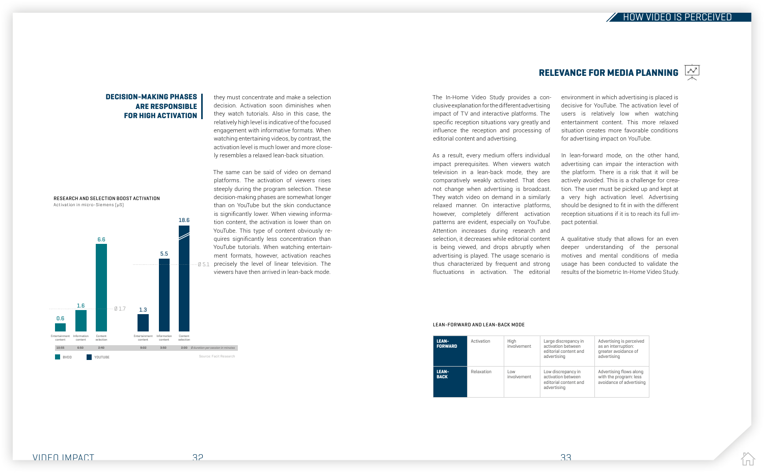



lпÍ

The In-Home Video Study provides a conclusive explanation for the different advertising impact of TV and interactive platforms. The specific reception situations vary greatly and influence the reception and processing of editorial content and advertising.

As a result, every medium offers individual impact prerequisites. When viewers watch television in a lean-back mode, they are comparatively weakly activated. That does not change when advertising is broadcast. They watch video on demand in a similarly relaxed manner. On interactive platforms, however, completely different activation patterns are evident, especially on YouTube. Attention increases during research and selection, it decreases while editorial content is being viewed, and drops abruptly when advertising is played. The usage scenario is thus characterized by frequent and strong fluctuations in activation. The editorial

# RELEVANCE FOR MEDIA PLANNING  $\left[\begin{smallmatrix} 1 & 0 \\ \frac{1}{\sqrt{2}} & \frac{1}{\sqrt{2}} \\ \frac{1}{\sqrt{2}} & \frac{1}{\sqrt{2}} \end{smallmatrix}\right]$

## DECISION-MAKING PHASES ARE RESPONSIBLE FOR HIGH ACTIVATION

| <b>LEAN-</b><br><b>FORWARD</b> | Activation | High<br>involvement | Large discrepancy in<br>activation between<br>editorial content and<br>advertising | Advertising is perceived<br>as an interruption:<br>greater avoidance of<br>advertising |
|--------------------------------|------------|---------------------|------------------------------------------------------------------------------------|----------------------------------------------------------------------------------------|
| <b>LEAN-</b><br><b>BACK</b>    | Relaxation | Low<br>involvement  | Low discrepancy in<br>activation between<br>editorial content and<br>advertising   | Advertising flows along<br>with the program: less<br>avoidance of advertising          |

environment in which advertising is placed is decisive for YouTube. The activation level of users is relatively low when watching entertainment content. This more relaxed situation creates more favorable conditions for advertising impact on YouTube.

In lean-forward mode, on the other hand, advertising can impair the interaction with the platform. There is a risk that it will be actively avoided. This is a challenge for creation. The user must be picked up and kept at a very high activation level. Advertising should be designed to fit in with the different reception situations if it is to reach its full impact potential.

A qualitative study that allows for an even deeper understanding of the personal motives and mental conditions of media usage has been conducted to validate the results of the biometric In-Home Video Study.

#### LEAN-FORWARD AND LEAN-BACK MODE

they must concentrate and make a selection decision. Activation soon diminishes when they watch tutorials. Also in this case, the relatively high level is indicative of the focused engagement with informative formats. When watching entertaining videos, by contrast, the activation level is much lower and more closely resembles a relaxed lean-back situation.

Ø 5.1 precisely the level of linear television. The The same can be said of video on demand platforms. The activation of viewers rises steeply during the program selection. These decision-making phases are somewhat longer than on YouTube but the skin conductance is significantly lower. When viewing information content, the activation is lower than on YouTube. This type of content obviously requires significantly less concentration than YouTube tutorials. When watching entertainment formats, however, activation reaches viewers have then arrived in lean-back mode.

RESEARCH AND SELECTION BOOST ACTIVATION Activation in micro-Siemens (µS)

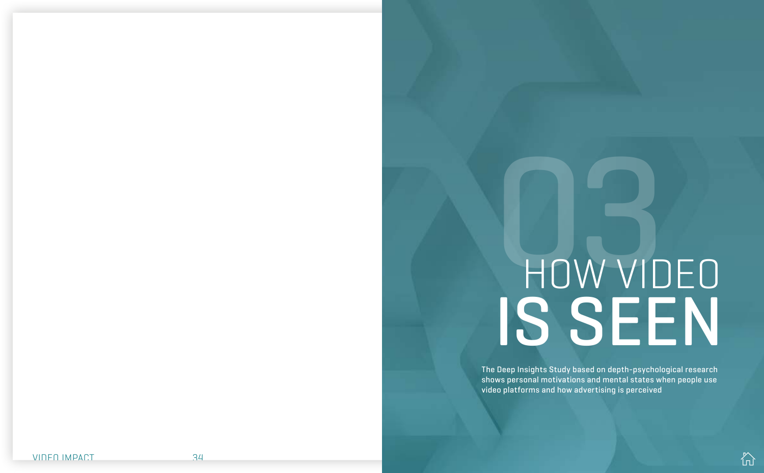

# <span id="page-16-0"></span>HOW VIDEO IS SEEN

The Deep Insights Study based on depth-psychological research shows personal motivations and mental states when people use video platforms and how advertising is perceived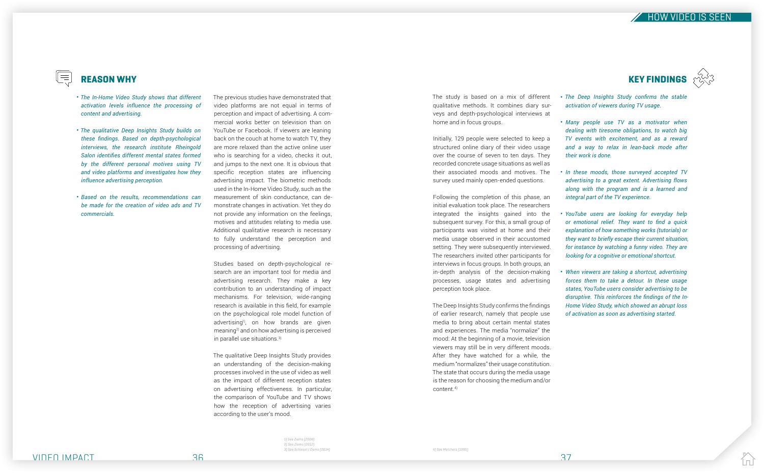

# **KEY FINDINGS**



l n Í

The Deep Insights Study confirms the findings of earlier research, namely that people use media to bring about certain mental states and experiences. The media "normalize" the mood: At the beginning of a movie, television viewers may still be in very different moods. After they have watched for a while, the medium "normalizes" their usage constitution. The state that occurs during the media usage is the reason for choosing the medium and/or content.4)

- 
- 

Studies based on depth-psychological research are an important tool for media and advertising research. They make a key contribution to an understanding of impact mechanisms. For television, wide-ranging research is available in this field, for example on the psychological role model function of advertising<sup>1)</sup>, on how brands are given meaning2) and on how advertising is perceived in parallel use situations.<sup>3)</sup>

The previous studies have demonstrated that video platforms are not equal in terms of perception and impact of advertising. A commercial works better on television than on YouTube or Facebook. If viewers are leaning back on the couch at home to watch TV, they are more relaxed than the active online user who is searching for a video, checks it out, and jumps to the next one. It is obvious that specific reception states are influencing advertising impact. The biometric methods used in the In-Home Video Study, such as the measurement of skin conductance, can demonstrate changes in activation. Yet they do not provide any information on the feelings, motives and attitudes relating to media use. Additional qualitative research is necessary to fully understand the perception and processing of advertising.

The qualitative Deep Insights Study provides an understanding of the decision-making processes involved in the use of video as well as the impact of different reception states on advertising effectiveness. In particular, the comparison of YouTube and TV shows how the reception of advertising varies according to the user's mood.

The study is based on a mix of different qualitative methods. It combines diary surveys and depth-psychological interviews at home and in focus groups.

Initially, 129 people were selected to keep a structured online diary of their video usage over the course of seven to ten days. They recorded concrete usage situations as well as

their associated moods and motives. The survey used mainly open-ended questions.

Following the completion of this phase, an initial evaluation took place. The researchers integrated the insights gained into the subsequent survey. For this, a small group of participants was visited at home and their media usage observed in their accustomed setting. They were subsequently interviewed. The researchers invited other participants for interviews in focus groups. In both groups, an in-depth analysis of the decision-making processes, usage states and advertising perception took place.

*The Deep Insights Study confirms the stable*  • *activation of viewers during TV usage.* 

*Many people use TV as a motivator when*  • *dealing with tiresome obligations, to watch big TV events with excitement, and as a reward and a way to relax in lean-back mode after their work is done.*

*In these moods, those surveyed accepted TV*  • *advertising to a great extent. Advertising flows along with the program and is a learned and integral part of the TV experience.*

*YouTube users are looking for everyday help*  • *or emotional relief. They want to find a quick explanation of how something works (tutorials) or they want to briefly escape their current situation, for instance by watching a funny video. They are looking for a cognitive or emotional shortcut.* 

*When viewers are taking a shortcut, advertising*  • *forces them to take a detour. In these usage states, YouTube users consider advertising to be disruptive. This reinforces the findings of the In-Home Video Study, which showed an abrupt loss of activation as soon as advertising started.*

- *The In-Home Video Study shows that different activation levels influence the processing of content and advertising.*
- *The qualitative Deep Insights Study builds on these findings. Based on depth-psychological interviews, the research institute Rheingold Salon identifies different mental states formed by the different personal motives using TV and video platforms and investigates how they influence advertising perception.*
- *Based on the results, recommendations can be made for the creation of video ads and TV commercials.*

# $\parallel \equiv$

# REASON WHY

1) See Ziems (2006) 2) See Ziems (2012)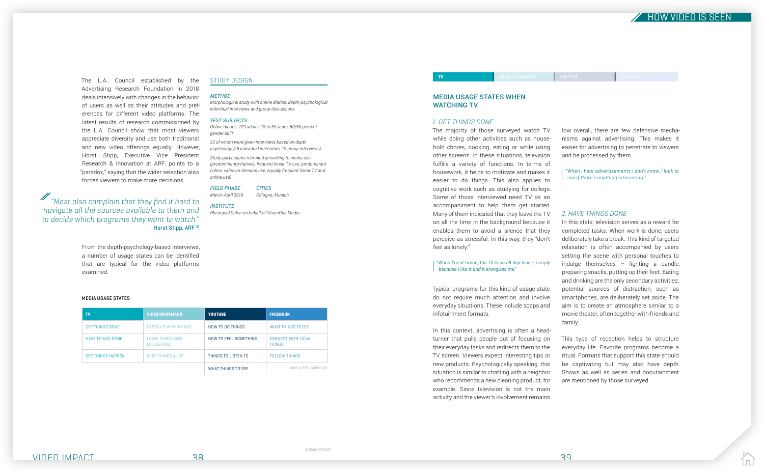

The L.A. Council established by the Advertising Research Foundation in 2018 deals intensively with changes in the behavior of users as well as their attitudes and preferences for different video platforms. The latest results of research commissioned by the L.A. Council show that most viewers appreciate diversity and use both traditional and new video offerings equally. However, Horst Stipp, Executive Vice President Research & Innovation at ARF, points to a "paradox," saying that the wider selection also forces viewers to make more decisions.

 $\mathscr{M}$  "Most also complain that they find it hard to navigate all the sources available to them and to decide which programs they want to watch." Horst Stipp, ARF 5)

> From the depth-psychology-based interviews, a number of usage states can be identified that are typical for the video platforms examined.

#### MEDIA USAGE STATES WHEN WATCHING TV

TV TV VIDEO ON DEMAND YOUTUBE FACEBOOK OF THE RESERVE TO A RESERVE THE RESERVE TO A RESERVE TO A RESERVE TO A

#### *1. GET THINGS DONE*

The majority of those surveyed watch TV while doing other activities such as household chores, cooking, eating or while using other screens. In these situations, television fulfills a variety of functions. In terms of housework, it helps to motivate and makes it easier to do things. This also applies to cognitive work such as studying for college. Some of those interviewed need TV as an accompaniment to help them get started. Many of them indicated that they leave the TV on all the time in the background because it enables them to avoid a silence that they perceive as stressful. In this way, they "don't feel as lonely."

#### "When I'm at home, the TV is on all day long – simply because I like it and it energizes me."

Typical programs for this kind of usage state do not require much attention and involve everyday situations. These include soaps and infotainment formats.

In this context, advertising is often a headturner that pulls people out of focusing on their everyday tasks and redirects them to the TV screen. Viewers expect interesting tips or new products. Psychologically speaking, this situation is similar to chatting with a neighbor who recommends a new cleaning product, for example. Since television is not the main activity and the viewer's involvement remains

low overall, there are few defensive mechanisms against advertising. This makes it easier for advertising to penetrate to viewers and be processed by them.

"When I hear advertisements I don't know, I look to see if there's anything interesting."

#### *2. HAVE THINGS DONE*

In this state, television serves as a reward for completed tasks. When work is done, users deliberately take a break. This kind of targeted relaxation is often accompanied by users setting the scene with personal touches to indulge themselves – lighting a candle, preparing snacks, putting up their feet. Eating and drinking are the only secondary activities; potential sources of distraction, such as smartphones, are deliberately set aside. The aim is to create an atmosphere similar to a movie theater, often together with friends and family.

This type of reception helps to structure everyday life. Favorite programs become a ritual. Formats that support this state should be captivating but may also have depth. Shows as well as series and docutainment are mentioned by those surveyed.

l n l

#### STUDY DESIGN

#### *METHOD*

*Morphological study with online diaries, depth-psychological individual interviews and group discussions*

#### *TEST SUBJECTS*

*Online diaries. 129 adults, 18 to 59 years, 50/50 percent gender split*

*33 of whom were given interviews based on depth psychology (15 individual interviews, 18 group interviews)*

*Study participants recruited according to media use (predominant/relatively frequent linear TV use, predominant online, video on demand use, equally frequent linear TV and online use)*

*FIELD PHASE CITIES*

*March-April 2019 Cologne, Munich*

*INSTITUTE Rheingold Salon on behalf of SevenOne Media*

#### MEDIA USAGE STATES

| TV                       | <b>VIDEO ON DEMAND</b>                        | <b>YOUTUBE</b>               | <b>FACEBOOK</b>                     |
|--------------------------|-----------------------------------------------|------------------------------|-------------------------------------|
| <b>GET THINGS DONE</b>   | CATCH UP WITH THINGS                          | <b>HOW TO DO THINGS</b>      | WHAT THINGS TO DO                   |
| <b>HAVE THINGS DONE</b>  | <b>LEAVE THINGS AND</b><br><b>LIFE BEHIND</b> | <b>HOW TO FEEL SOMETHING</b> | CONNECT WITH LOCAL<br><b>THINGS</b> |
| <b>SEE THINGS HAPPEN</b> | <b>KEEP THINGS ALIVE</b>                      | THINGS TO LISTEN TO          | <b>FOLLOW THINGS</b>                |
|                          |                                               | WHAT THINGS TO SEE           | Source: Rheingold Salon             |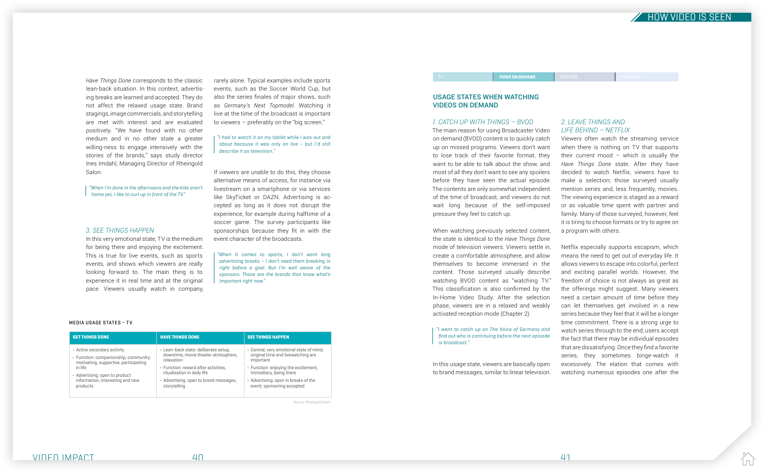# $\overline{Z}$  HOW VIDEO IS SEEN

IпÍ

*Have Things Done* corresponds to the classic lean-back situation. In this context, advertising breaks are learned and accepted. They do not affect the relaxed usage state. Brand stagings, image commercials, and storytelling are met with interest and are evaluated positively. "We have found with no other medium and in no other state a greater willing-ness to engage intensively with the stories of the brands," says study director Ines Imdahl, Managing Director of Rheingold Salon.

"When I'm done in the afternoons and the kids aren't home yet, I like to curl up in front of the TV."

#### *3. SEE THINGS HAPPEN*

In this very emotional state, TV is the medium for being there and enjoying the excitement. This is true for live events, such as sports events, and shows which viewers are really looking forward to. The main thing is to experience it in real time and at the original pace. Viewers usually watch in company,

rarely alone. Typical examples include sports events, such as the Soccer World Cup, but also the series finales of major shows, such as *Germany's Next Topmodel*. Watching it live at the time of the broadcast is important to viewers – preferably on the "big screen."

"I had to watch it on my tablet while I was out and about because it was only on live – but I'd still describe it as television."

If viewers are unable to do this, they choose alternative means of access, for instance via livestream on a smartphone or via services like SkyTicket or DAZN. Advertising is accepted as long as it does not disrupt the experience, for example during halftime of a soccer game. The survey participants like sponsorships because they fit in with the event character of the broadcasts.

"When it comes to sports, I don't want long advertising breaks – I don't need them breaking in right before a goal. But I'm well aware of the sponsors. Those are the brands that know what's important right now."

#### **MEDIA USAGE STATES - TV**

#### USAGE STATES WHEN WATCHING VIDEOS ON DEMAND

VIDEO ON DEMAND

#### *1. CATCH UP WITH THINGS – BVOD*

The main reason for using Broadcaster Video on demand (BVOD) content is to quickly catch up on missed programs. Viewers don't want to lose track of their favorite format, they want to be able to talk about the show, and most of all they don't want to see any spoilers before they have seen the actual episode. The contents are only somewhat independent of the time of broadcast, and viewers do not wait long because of the self-imposed pressure they feel to catch up.

When watching previously selected content, the state is identical to the *Have Things Done* mode of television viewers. Viewers settle in, create a comfortable atmosphere, and allow themselves to become immersed in the content. Those surveyed usually describe watching BVOD content as "watching TV." This classification is also confirmed by the In-Home Video Study. After the selection phase, viewers are in a relaxed and weakly activated reception mode (Chapter 2).

"I want to catch up on The Voice of Germany and find out who is continuing before the next episode is broadcast."

In this usage state, viewers are basically open to brand messages, similar to linear television.

*2. LEAVE THINGS AND LIFE BEHIND – NETFLIX* Viewers often watch the streaming service when there is nothing on TV that supports their current mood – which is usually the *Have Things Done* state. After they have decided to watch Netflix, viewers have to make a selection; those surveyed usually mention series and, less frequently, movies. The viewing experience is staged as a reward or as valuable time spent with partner and family. Many of those surveyed, however, feel it is tiring to choose formats or try to agree on a program with others.

Netflix especially supports escapism, which means the need to get out of everyday life. It allows viewers to escape into colorful, perfect and exciting parallel worlds. However, the freedom of choice is not always as great as the offerings might suggest. Many viewers need a certain amount of time before they can let themselves get involved in a new series because they feel that it will be a longer time commitment. There is a strong urge to watch series through to the end; users accept the fact that there may be individual episodes that are dissatisfying. Once they find a favorite series, they sometimes binge-watch it excessively. The elation that comes with watching numerous episodes one after the

| <b>GET THINGS DONE</b>                | <b>HAVE THINGS DONE</b>                | <b>SEE THINGS HAPPEN</b>                 |
|---------------------------------------|----------------------------------------|------------------------------------------|
| • Active secondary activity           | · Lean-back state: deliberate setup,   | . Central, very emotional state of mind; |
| · Function: companionship, community; | downtime, movie theater atmosphere,    | original time and livewatching are       |
| motivating, supportive, participating | relaxation                             | important                                |
| in life                               | · Function: reward after activities,   | • Function: enjoying the excitement,     |
| • Advertising: open to product        | ritualization in daily life            | immediacy, being there                   |
| information, interesting and new      | • Advertising: open to brand messages, | • Advertising: open in breaks of the     |
| products                              | storytelling                           | event; sponsoring accepted               |

Source: Rheingold Salon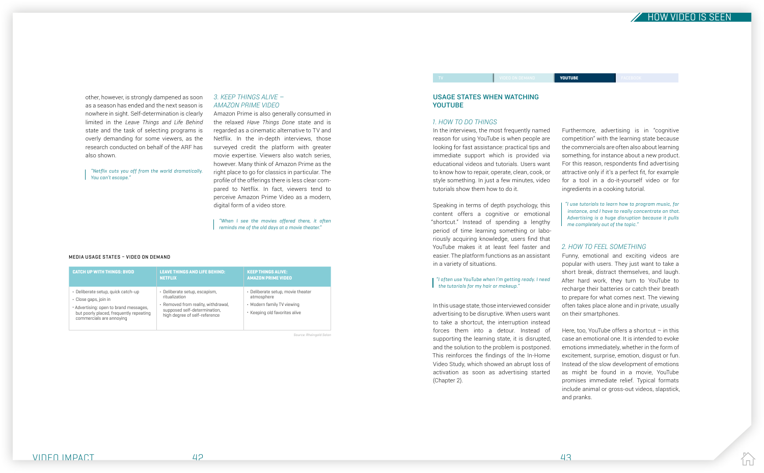

other, however, is strongly dampened as soon as a season has ended and the next season is nowhere in sight. Self-determination is clearly limited in the *Leave Things and Life Behind*  state and the task of selecting programs is overly demanding for some viewers, as the research conducted on behalf of the ARF has also shown.

"Netflix cuts you off from the world dramatically. You can't escape."

#### *3. KEEP THINGS ALIVE – AMAZON PRIME VIDEO*

Amazon Prime is also generally consumed in the relaxed *Have Things Done* state and is regarded as a cinematic alternative to TV and Netflix. In the in-depth interviews, those surveyed credit the platform with greater movie expertise. Viewers also watch series, however. Many think of Amazon Prime as the right place to go for classics in particular. The profile of the offerings there is less clear compared to Netflix. In fact, viewers tend to perceive Amazon Prime Video as a modern, digital form of a video store.

#### "I often use YouTube when I'm getting ready. I need  $\mathsf I$  the tutorials for my hair or makeup."

"When I see the movies offered there, it often reminds me of the old days at a movie theater."

#### USAGE STATES WHEN WATCHING YOUTUBE

#### *1. HOW TO DO THINGS*

In the interviews, the most frequently named reason for using YouTube is when people are looking for fast assistance: practical tips and immediate support which is provided via educational videos and tutorials. Users want to know how to repair, operate, clean, cook, or style something. In just a few minutes, video tutorials show them how to do it.

Speaking in terms of depth psychology, this content offers a cognitive or emotional "shortcut." Instead of spending a lengthy period of time learning something or laboriously acquiring knowledge, users find that YouTube makes it at least feel faster and easier. The platform functions as an assistant in a variety of situations.

> Here, too, YouTube offers a shortcut  $-$  in this case an emotional one. It is intended to evoke emotions immediately, whether in the form of excitement, surprise, emotion, disgust or fun. Instead of the slow development of emotions as might be found in a movie, YouTube promises immediate relief. Typical formats include animal or gross-out videos, slapstick, and pranks.

In this usage state, those interviewed consider advertising to be disruptive. When users want to take a shortcut, the interruption instead forces them into a detour. Instead of supporting the learning state, it is disrupted, and the solution to the problem is postponed. This reinforces the findings of the In-Home Video Study, which showed an abrupt loss of activation as soon as advertising started (Chapter 2).

Furthermore, advertising is in "cognitive competition" with the learning state because the commercials are often also about learning something, for instance about a new product. For this reason, respondents find advertising attractive only if it's a perfect fit, for example for a tool in a do-it-yourself video or for ingredients in a cooking tutorial.

"I use tutorials to learn how to program music, for instance, and I have to really concentrate on that. Advertising is a huge disruption because it pulls me completely out of the topic."

#### *2. HOW TO FEEL SOMETHING*

Funny, emotional and exciting videos are popular with users. They just want to take a short break, distract themselves, and laugh. After hard work, they turn to YouTube to recharge their batteries or catch their breath to prepare for what comes next. The viewing often takes place alone and in private, usually on their smartphones.

| <b>CATCH UP WITH THINGS: BVOD</b>                                                                                                                                            | <b>LEAVE THINGS AND LIFE BEHIND:</b><br><b>NETFLIX</b>                                                                                                 | <b>KEEP THINGS ALIVE:</b><br><b>AMAZON PRIME VIDEO</b>                                                         |
|------------------------------------------------------------------------------------------------------------------------------------------------------------------------------|--------------------------------------------------------------------------------------------------------------------------------------------------------|----------------------------------------------------------------------------------------------------------------|
| · Deliberate setup, quick catch-up<br>· Close gaps, join in<br>· Advertising: open to brand messages,<br>but poorly placed, frequently repeating<br>commercials are annoying | · Deliberate setup, escapism,<br>ritualization<br>• Removed from reality, withdrawal,<br>supposed self-determination,<br>high degree of self-reference | • Deliberate setup, movie theater<br>atmosphere<br>• Modern family TV viewing<br>• Keeping old favorites alive |

Source: Rheingold Salon

#### MEDIA USAGE STATES – VIDEO ON DEMAND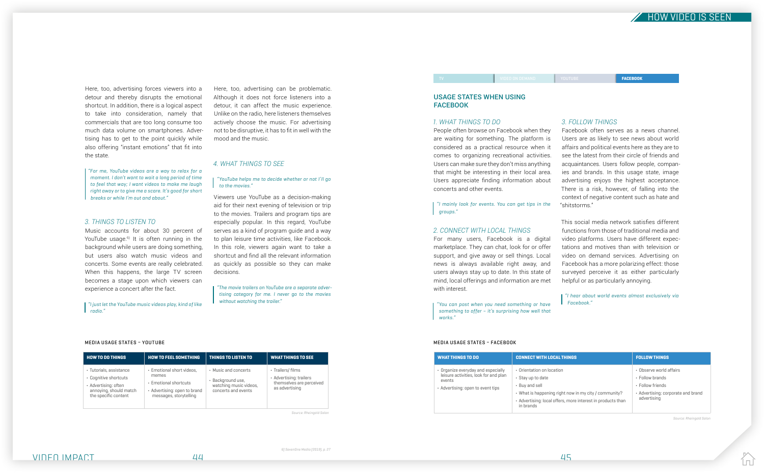

Here, too, advertising forces viewers into a detour and thereby disrupts the emotional shortcut. In addition, there is a logical aspect to take into consideration, namely that commercials that are too long consume too much data volume on smartphones. Advertising has to get to the point quickly while also offering "instant emotions" that fit into the state.

"For me, YouTube videos are a way to relax for a moment. I don't want to wait a long period of time to feel that way; I want videos to make me laugh right away or to give me a scare. It's good for short breaks or while I'm out and about."

#### *3. THINGS TO LISTEN TO*

Music accounts for about 30 percent of YouTube usage.<sup>6)</sup> It is often running in the background while users are doing something, but users also watch music videos and concerts. Some events are really celebrated. When this happens, the large TV screen becomes a stage upon which viewers can experience a concert after the fact.

"The movie trailers on YouTube are a separate advertising category for me. I never go to the movies without watching the trailer."

### USAGE STATES WHEN USING **FACEBOOK**

"I just let the YouTube music videos play, kind of like radio."

Here, too, advertising can be problematic. Although it does not force listeners into a detour, it can affect the music experience. Unlike on the radio, here listeners themselves actively choose the music. For advertising not to be disruptive, it has to fit in well with the mood and the music.

#### *4. WHAT THINGS TO SEE*

"YouTube helps me to decide whether or not I'll go to the movies."

Viewers use YouTube as a decision-making aid for their next evening of television or trip to the movies. Trailers and program tips are especially popular. In this regard, YouTube serves as a kind of program guide and a way to plan leisure time activities, like Facebook. In this role, viewers again want to take a shortcut and find all the relevant information as quickly as possible so they can make decisions.

#### *1. WHAT THINGS TO DO*

People often browse on Facebook when they are waiting for something. The platform is considered as a practical resource when it comes to organizing recreational activities. Users can make sure they don't miss anything that might be interesting in their local area. Users appreciate finding information about concerts and other events.

"I mainly look for events. You can get tips in the groups."

#### *2. CONNECT WITH LOCAL THINGS*

For many users, Facebook is a digital marketplace. They can chat, look for or offer support, and give away or sell things. Local news is always available right away, and users always stay up to date. In this state of mind, local offerings and information are met with interest.

"You can post when you need something or have something to offer - it's surprising how well that works."

#### *3. FOLLOW THINGS*

Facebook often serves as a news channel. Users are as likely to see news about world affairs and political events here as they are to see the latest from their circle of friends and acquaintances. Users follow people, companies and brands. In this usage state, image advertising enjoys the highest acceptance. There is a risk, however, of falling into the context of negative content such as hate and

"shitstorms."

This social media network satisfies different functions from those of traditional media and video platforms. Users have different expectations and motives than with television or video on demand services. Advertising on Facebook has a more polarizing effect: those surveyed perceive it as either particularly helpful or as particularly annoying.

"I hear about world events almost exclusively via Facebook."

TV VIDEO ON DEMAND YOUTUBE FACEBOOK

| <b>HOW TO DO THINGS</b>                                                                                                    | <b>HOW TO FEEL SOMETHING</b>                                                                                          | THINGS TO LISTEN TO                                                                        | <b>WHAT THINGS TO SEE</b>                                                                       |
|----------------------------------------------------------------------------------------------------------------------------|-----------------------------------------------------------------------------------------------------------------------|--------------------------------------------------------------------------------------------|-------------------------------------------------------------------------------------------------|
| · Tutorials, assistance<br>• Cognitive shortcuts<br>· Advertising: often<br>annoying, should match<br>the specific content | · Emotional short videos,<br>memes<br>• Emotional shortcuts<br>· Advertising: open to brand<br>messages, storytelling | • Music and concerts<br>· Background use,<br>watching music videos,<br>concerts and events | $\cdot$ Trailers/films<br>· Advertising: trailers<br>themselves are perceived<br>as advertising |

Source: Rheingold Salon

#### MEDIA USAGE STATES – YOUTUBE

| <b>WHAT THINGS TO DO</b>                                                                                                   | <b>CONNECT WITH LOCAL THINGS</b>                                                                                                                                                                      | <b>FOLLOW THINGS</b>                                                                                                      |
|----------------------------------------------------------------------------------------------------------------------------|-------------------------------------------------------------------------------------------------------------------------------------------------------------------------------------------------------|---------------------------------------------------------------------------------------------------------------------------|
| • Organize everyday and especially<br>leisure activities, look for and plan<br>events<br>• Advertising: open to event tips | • Orientation on location<br>• Stay up to date<br>• Buy and sell<br>• What is happening right now in my city / community?<br>· Advertising: local offers, more interest in products than<br>in brands | . Observe world affairs<br>$\cdot$ Follow brands<br>· Follow friends<br>• Advertising: corporate and brand<br>advertising |

#### MEDIA USAGE STATES – FACEBOOK

Source: Rheingold Salon

IпÍ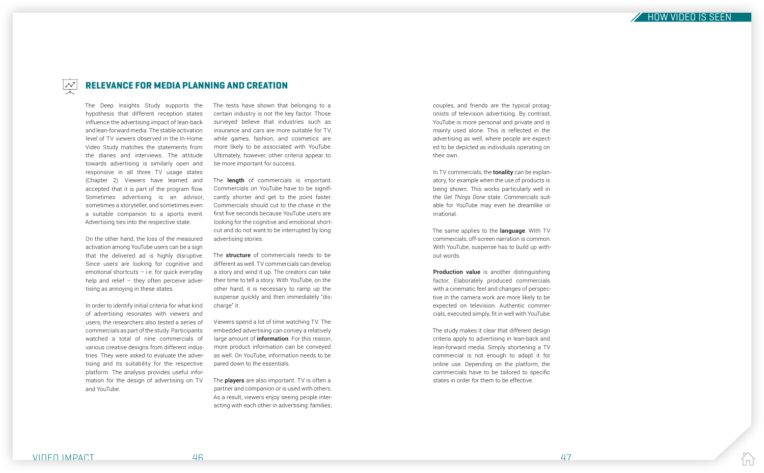



couples, and friends are the typical protagonists of television advertising. By contrast, YouTube is more personal and private and is mainly used alone. This is reflected in the advertising as well, where people are expected to be depicted as individuals operating on their own.

In TV commercials, the **tonality** can be explanatory, for example when the use of products is being shown. This works particularly well in the *Get Things Done* state. Commercials suitable for YouTube may even be dreamlike or irrational.

The same applies to the **language**. With TV commercials, off-screen narration is common. With YouTube, suspense has to build up without words.

Production value is another distinguishing factor. Elaborately produced commercials with a cinematic feel and changes of perspective in the camera work are more likely to be expected on television. Authentic commercials, executed simply, fit in well with YouTube.

The study makes it clear that different design criteria apply to advertising in lean-back and lean-forward media. Simply shortening a TV commercial is not enough to adapt it for online use. Depending on the platform, the commercials have to be tailored to specific states in order for them to be effective.

The Deep Insights Study supports the hypothesis that different reception states influence the advertising impact of lean-back and lean-forward media. The stable activation level of TV viewers observed in the In-Home Video Study matches the statements from the diaries and interviews. The attitude towards advertising is similarly open and responsive in all three TV usage states (Chapter 2). Viewers have learned and accepted that it is part of the program flow. Sometimes advertising is an advisor, sometimes a storyteller, and sometimes even a suitable companion to a sports event. Advertising ties into the respective state.

The **length** of commercials is important. Commercials on YouTube have to be significantly shorter and get to the point faster. Commercials should cut to the chase in the first five seconds because YouTube users are looking for the cognitive and emotional shortcut and do not want to be interrupted by long advertising stories.

The structure of commercials needs to be different as well. TV commercials can develop a story and wind it up. The creators can take their time to tell a story. With YouTube, on the other hand, it is necessary to ramp up the suspense quickly and then immediately "discharge" it.

The **players** are also important. TV is often a partner and companion or is used with others. As a result, viewers enjoy seeing people interacting with each other in advertising: families,

On the other hand, the loss of the measured activation among YouTube users can be a sign that the delivered ad is highly disruptive. Since users are looking for cognitive and emotional shortcuts  $-$  i.e. for quick everyday help and relief  $-$  they often perceive advertising as annoying in these states.

In order to identify initial criteria for what kind of advertising resonates with viewers and users, the researchers also tested a series of commercials as part of the study. Participants watched a total of nine commercials of various creative designs from different industries. They were asked to evaluate the advertising and its suitability for the respective platform. The analysis provides useful information for the design of advertising on TV and YouTube.

The tests have shown that belonging to a certain industry is not the key factor. Those surveyed believe that industries such as insurance and cars are more suitable for TV, while games, fashion, and cosmetics are more likely to be associated with YouTube. Ultimately, however, other criteria appear to be more important for success.

Viewers spend a lot of time watching TV. The embedded advertising can convey a relatively large amount of *information*. For this reason, more product information can be conveyed as well. On YouTube, information needs to be pared down to the essentials.



# RELEVANCE FOR MEDIA PLANNING AND CREATION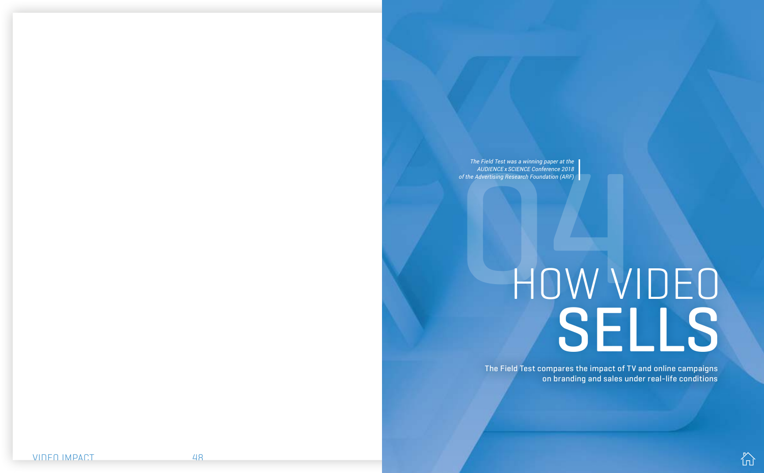

on branding and sales under real-life conditions

# <span id="page-23-0"></span>The Field Test was a winning paper at the<br>AUDIENCEx SCIENCE Conference 2018<br>of the Advertising Research Foundation (ARF)<br> $\blacksquare$ The Field Test compares the impact of TV and online campaigns HOW VIDEO SELLS

*The Field Test was a winning paper at the AUDIENCE x SCIENCE Conference 2018 of the Advertising Research Foundation (ARF)*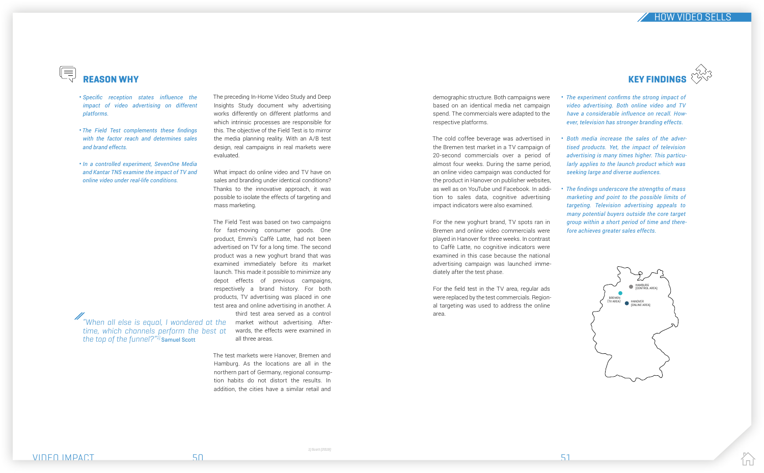

demographic structure. Both campaigns were based on an identical media net campaign spend. The commercials were adapted to the respective platforms.

The cold coffee beverage was advertised in the Bremen test market in a TV campaign of 20-second commercials over a period of almost four weeks. During the same period, an online video campaign was conducted for the product in Hanover on publisher websites, as well as on YouTube und Facebook. In addition to sales data, cognitive advertising impact indicators were also examined.

For the new yoghurt brand, TV spots ran in Bremen and online video commercials were played in Hanover for three weeks. In contrast to Caffè Latte, no cognitive indicators were examined in this case because the national advertising campaign was launched immediately after the test phase.

For the field test in the TV area, regular ads were replaced by the test commercials. Regional targeting was used to address the online area.

The preceding In-Home Video Study and Deep Insights Study document why advertising works differently on different platforms and which intrinsic processes are responsible for this. The objective of the Field Test is to mirror the media planning reality. With an A/B test design, real campaigns in real markets were evaluated.

What impact do online video and TV have on sales and branding under identical conditions? Thanks to the innovative approach, it was possible to isolate the effects of targeting and mass marketing.

## $(\equiv)$ REASON WHY

"When all else is equal, I wondered at the time, which channels perform the best at the top of the funnel? $1$ <sup>21</sup> Samuel Scott

VIDEO IMPACT SOLUTION NEWSFILM SOLUTION SOLUTION SOLUTION SOLUTION SOLUTION SOLUTION SOLUTION SOLUTION SOLUTIO

The Field Test was based on two campaigns for fast-moving consumer goods. One product, Emmi's Caffè Latte, had not been advertised on TV for a long time. The second product was a new yoghurt brand that was examined immediately before its market launch. This made it possible to minimize any depot effects of previous campaigns, respectively a brand history. For both products, TV advertising was placed in one test area and online advertising in another. A third test area served as a control

market without advertising. Afterwards, the effects were examined in all three areas.

The test markets were Hanover, Bremen and Hamburg. As the locations are all in the northern part of Germany, regional consumption habits do not distort the results. In addition, the cities have a similar retail and



*The experiment confirms the strong impact of*  • *video advertising. Both online video and TV have a considerable influence on recall. However, television has stronger branding effects.*

*Both media increase the sales of the adver-*• *tised products. Yet, the impact of television advertising is many times higher. This particularly applies to the launch product which was seeking large and diverse audiences.*

*The findings underscore the strengths of mass*  • *marketing and point to the possible limits of targeting. Television advertising appeals to many potential buyers outside the core target group within a short period of time and therefore achieves greater sales effects.*

- *Specific reception states influence the impact of video advertising on different platforms.*
- *The Field Test complements these findings with the factor reach and determines sales and brand effects.*
- *In a controlled experiment, SevenOne Media and Kantar TNS examine the impact of TV and online video under real-life conditions.*

# **HOW VIDEO SELLS**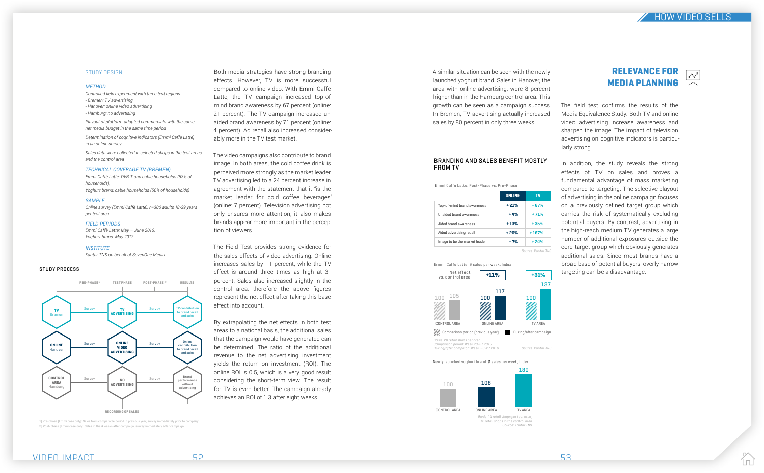

STUDY DESIGN Both media strategies have strong branding effects. However, TV is more successful compared to online video. With Emmi Caffè Latte, the TV campaign increased top-ofmind brand awareness by 67 percent (online: 21 percent). The TV campaign increased unaided brand awareness by 71 percent (online: 4 percent). Ad recall also increased considerably more in the TV test market.

> The video campaigns also contribute to brand image. In both areas, the cold coffee drink is perceived more strongly as the market leader. TV advertising led to a 24 percent increase in agreement with the statement that it "is the market leader for cold coffee beverages" (online: 7 percent). Television advertising not only ensures more attention, it also makes brands appear more important in the perception of viewers.

> The Field Test provides strong evidence for the sales effects of video advertising. Online increases sales by 11 percent, while the TV effect is around three times as high at 31 percent. Sales also increased slightly in the control area, therefore the above figures represent the net effect after taking this base effect into account.

> By extrapolating the net effects in both test areas to a national basis, the additional sales that the campaign would have generated can be determined. The ratio of the additional revenue to the net advertising investment yields the return on investment (ROI). The online ROI is 0.5, which is a very good result considering the short-term view. The result for TV is even better. The campaign already achieves an ROI of 1.3 after eight weeks.

#### *METHOD*

*Controlled field experiment with three test regions - Bremen: TV advertising - Hanover: online video advertising - Hamburg: no advertising*

*Playout of platform-adapted commercials with the same net media budget in the same time period*

*Determination of cognitive indicators (Emmi Caffè Latte) in an online survey*

*Sales data were collected in selected shops in the test areas and the control area*

#### *TECHNICAL COVERAGE TV (BREMEN)*

*Emmi Caffè Latte: DVB-T and cable households (63% of households), Yoghurt brand: cable households (50% of households)*

#### *SAMPLE*

*Online survey (Emmi Caffè Latte): n=300 adults 18-39 years per test area*

#### *FIELD PERIODS*

*Emmi Caffè Latte: May – June 2016, Yoghurt brand: May 2017*

#### *INSTITUTE*

*Kantar TNS on behalf of SevenOne Media*

12 retail shops in the control area Source: Kantar TNS

A similar situation can be seen with the newly launched yoghurt brand. Sales in Hanover, the area with online advertising, were 8 percent higher than in the Hamburg control area. This growth can be seen as a campaign success. In Bremen, TV advertising actually increased sales by 80 percent in only three weeks.

The field test confirms the results of the Media Equivalence Study. Both TV and online video advertising increase awareness and sharpen the image. The impact of television advertising on cognitive indicators is particularly strong.

In addition, the study reveals the strong effects of TV on sales and proves a fundamental advantage of mass marketing compared to targeting. The selective playout of advertising in the online campaign focuses on a previously defined target group which carries the risk of systematically excluding potential buyers. By contrast, advertising in the high-reach medium TV generates a large number of additional exposures outside the core target group which obviously generates additional sales. Since most brands have a broad base of potential buyers, overly narrow targeting can be a disadvantage.



#### STUDY PROCESS

1) Pre-phase (Emmi case only): Sales from comparable period in previous year, survey immediately prior to campaign 2) Post-phase (Emmi case only): Sales in the 4 weeks after campaign, survey immediately after campaign



| <b>ONLINE</b> | τv      |
|---------------|---------|
| $+21%$        | $+67%$  |
| $+4%$         | $+71%$  |
| $+13%$        | $+35%$  |
| +20%          | $+167%$ |
| $+7%$         | $+24%$  |
|               |         |

Emmi Caffè Latte: Post-Phase vs. Pre-Phase

+31%

Basis: 20 retail shops per area Comparison period: Week 20-27 2015

During/after campaign: Week 20-27 2016



Emmi Caffè Latte: Ø sales per week, Index +11% Net effect vs. control area

Source: Kantar TNS

#### BRANDING AND SALES BENEFIT MOSTLY FROM TV

#### Newly launched yoghurt brand: Ø sales per week, Index



Source: Kantar TNS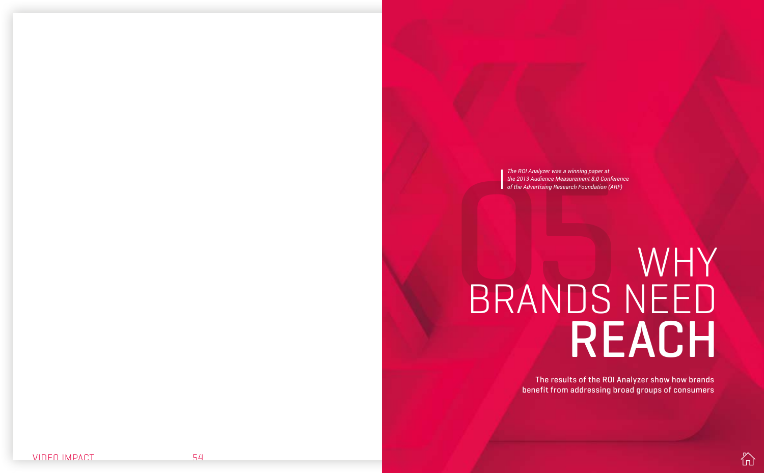

*The ROI Analyzer was a winning paper at the 2013 Audience Measurement 8.0 Conference of the Advertising Research Foundation (ARF)*

# <span id="page-26-0"></span>The ROI Analyzer was a winning paper at<br>the 2013 Audience Measurement 8.0 Conference<br>of the Advertising Research Foundation (ARF)<br>BRANDSNEED REACH WHY

The results of the ROI Analyzer show how brands benefit from addressing broad groups of consumers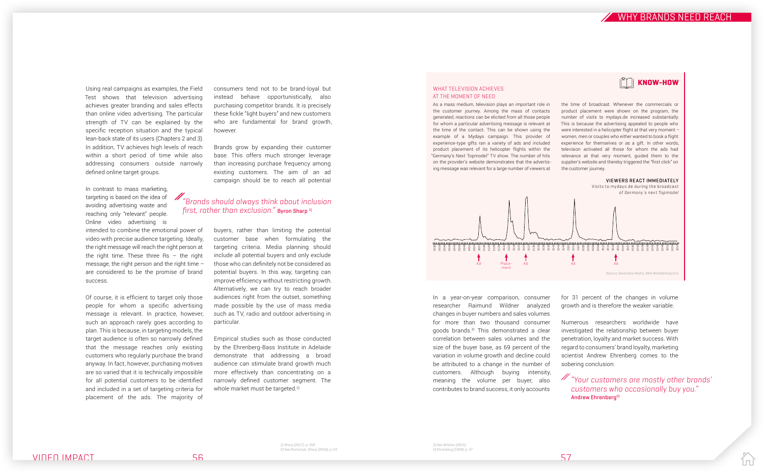

Using real campaigns as examples, the Field Test shows that television advertising achieves greater branding and sales effects than online video advertising. The particular strength of TV can be explained by the specific reception situation and the typical lean-back state of its users (Chapters 2 and 3). In addition, TV achieves high levels of reach within a short period of time while also addressing consumers outside narrowly defined online target groups.

In contrast to mass marketing, targeting is based on the idea of avoiding advertising waste and reaching only "relevant" people. Online video advertising is

intended to combine the emotional power of video with precise audience targeting. Ideally, the right message will reach the right person at the right time. These three  $\text{Rs}$  – the right message, the right person and the right time  $$ are considered to be the promise of brand success.

> Empirical studies such as those conducted by the Ehrenberg-Bass Institute in Adelaide demonstrate that addressing a broad audience can stimulate brand growth much more effectively than concentrating on a narrowly defined customer segment. The whole market must be targeted.<sup>2)</sup>

Of course, it is efficient to target only those people for whom a specific advertising message is relevant. In practice, however, such an approach rarely goes according to plan. This is because, in targeting models, the target audience is often so narrowly defined that the message reaches only existing customers who regularly purchase the brand anyway. In fact, however, purchasing motives are so varied that it is technically impossible for all potential customers to be identified and included in a set of targeting criteria for placement of the ads. The majority of

consumers tend not to be brand-loyal but instead behave opportunistically, also purchasing competitor brands. It is precisely these fickle "light buyers" and new customers who are fundamental for brand growth, however.

Brands grow by expanding their customer base. This offers much stronger leverage than increasing purchase frequency among existing customers. The aim of an ad campaign should be to reach all potential

# $\mathscr{M}_{\mathscr{C}}$  arands should always think about inclusion first, rather than exclusion." Byron Sharp<sup>1)</sup>

buyers, rather than limiting the potential customer base when formulating the targeting criteria. Media planning should include all potential buyers and only exclude those who can definitely not be considered as potential buyers. In this way, targeting can improve efficiency without restricting growth. Alternatively, we can try to reach broader audiences right from the outset, something made possible by the use of mass media such as TV, radio and outdoor advertising in particular.

## "Your customers are mostly other brands' customers who occasionally buy you." Andrew Ehrenberg<sup>4)</sup>

l n l

In a year-on-year comparison, consumer researcher Raimund Wildner analyzed changes in buyer numbers and sales volumes for more than two thousand consumer goods brands.3) This demonstrated a clear correlation between sales volumes and the size of the buyer base, as 69 percent of the variation in volume growth and decline could be attributed to a change in the number of customers. Although buying intensity, meaning the volume per buyer, also contributes to brand success, it only accounts

for 31 percent of the changes in volume growth and is therefore the weaker variable.

Numerous researchers worldwide have investigated the relationship between buyer penetration, loyalty and market success. With regard to consumers' brand loyalty, marketing scientist Andrew Ehrenberg comes to the sobering conclusion:

the time of broadcast. Whenever the commercials or product placement were shown on the program, the number of visits to mydays.de increased substantially. This is because the advertising appealed to people who were interested in a helicopter flight at that very moment – women, men or couples who either wanted to book a flight experience for themselves or as a gift. In other words, television activated all those for whom the ads had relevance at that very moment, guided them to the supplier's website and thereby triggered the "first click" on the customer journey.

#### WHAT TELEVISION ACHIEVES AT THE MOMENT OF NEED

As a mass medium, television plays an important role in the customer journey. Among the mass of contacts generated, reactions can be elicited from all those people for whom a particular advertising message is relevant at the time of the contact. This can be shown using the example of a Mydays campaign. This provider of experience-type gifts ran a variety of ads and included product placement of its helicopter flights within the "Germany's Next Topmodel" TV show. The number of hits on the provider's website demonstrates that the advertising message was relevant for a large number of viewers at



3) See Wildner (2015) 4) Ehrenberg (1999), p. 57

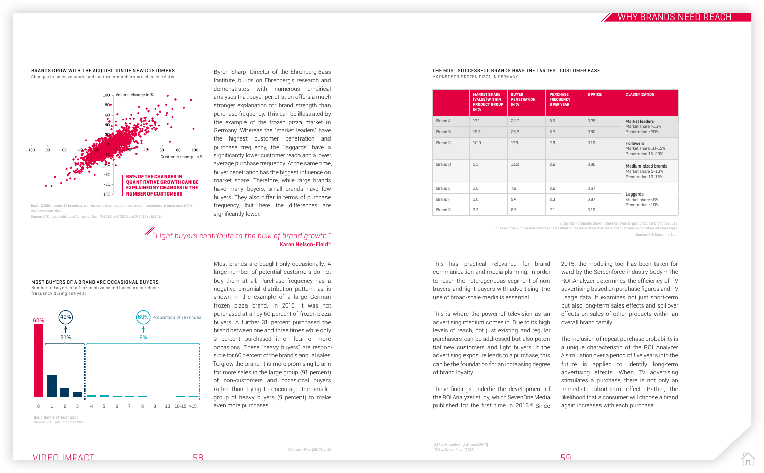# VIDEO IMPACT 58 59



#### BRANDS GROW WITH THE ACQUISITION OF NEW CUSTOMERS Changes in sales volumes and customer numbers are closely related

#### THE MOST SUCCESSFUL BRANDS HAVE THE LARGEST CUSTOMER BASE MARKET FOR FROZEN PIZZA IN GERMANY

|                | <b>MARKET SHARE</b><br>[VALUE] WITHIN<br><b>PRODUCT GROUP</b><br><b>IN %</b> | <b>BUYER</b><br><b>PENETRATION</b><br><b>IN %</b> | <b>PURCHASE</b><br><b>FREQUENCY</b><br><b>Ø PER YEAR</b> | <b>Ø PRICE</b> | <b>CLASSIFICATION</b>                                           |
|----------------|------------------------------------------------------------------------------|---------------------------------------------------|----------------------------------------------------------|----------------|-----------------------------------------------------------------|
| Brand A        | 17.1                                                                         | 24.2                                              | 3.6                                                      | 4.28           | <b>Market leaders</b><br>Market share >15%                      |
| <b>Brand B</b> | 15.3                                                                         | 26.8                                              | 3.2                                                      | 4.30           | Penetration >20%                                                |
| Brand C        | 10.0                                                                         | 17.3                                              | 2.9                                                      | 4.10           | <b>Followers</b><br>Market share 10-15%<br>Penetration 15-20%   |
| Brand D        | 5.3                                                                          | 11.2                                              | 2.6                                                      | 3.86           | Medium-sized brands<br>Market share 5-10%<br>Penetration 10-15% |
| Brand E        | 3.8                                                                          | 7.6                                               | 2.6                                                      | 3.67           |                                                                 |
| Brand F        | 3.6                                                                          | 9.4                                               | 2.3                                                      | 3.97           | Laggards<br>Market share <5%                                    |
| <b>Brand G</b> | 3.3                                                                          | 8.5                                               | 2.1                                                      | 4.10           | Penetration <10%                                                |
|                |                                                                              |                                                   |                                                          |                |                                                                 |

These findings underlie the development of the ROI Analyzer study, which SevenOne Media published for the first time in 2013.<sup>6)</sup> Since

This has practical relevance for brand communication and media planning. In order to reach the heterogeneous segment of nonbuyers and light buyers with advertising, the use of broad-scale media is essential.

This is where the power of television as an advertising medium comes in. Due to its high levels of reach, not just existing and regular purchasers can be addressed but also potential new customers and light buyers. If the advertising exposure leads to a purchase, this can be the foundation for an increasing degree of brand loyalty.

2015, the modeling tool has been taken forward by the Screenforce industry body.<sup>7)</sup> The ROI Analyzer determines the efficiency of TV advertising based on purchase figures and TV usage data. It examines not just short-term but also long-term sales effects and spillover effects on sales of other products within an overall brand family.

# $\mathscr{M}_\mathit{``Light\,buyers\,continue\,to\,the\,bulk\,of\,brand\,growth.''}$ Karen Nelson-Field5)

The inclusion of repeat purchase probability is a unique characteristic of the ROI Analyzer. A simulation over a period of five years into the future is applied to identify long-term advertising effects. When TV advertising stimulates a purchase, there is not only an immediate, short-term effect. Rather, the likelihood that a consumer will choose a brand again increases with each purchase.



Byron Sharp, Director of the Ehrenberg-Bass Institute, builds on Ehrenberg's research and demonstrates with numerous empirical analyses that buyer penetration offers a much stronger explanation for brand strength than purchase frequency. This can be illustrated by the example of the frozen pizza market in Germany. Whereas the "market leaders" have the highest customer penetration and purchase frequency, the "laggards" have a significantly lower customer reach and a lower average purchase frequency. At the same time, buyer penetration has the biggest influence on market share. Therefore, while large brands have many buyers, small brands have few buyers. They also differ in terms of purchase frequency, but here the differences are significantly lower.

Most brands are bought only occasionally. A

large number of potential customers do not buy them at all. Purchase frequency has a negative binomial distribution pattern, as is shown in the example of a large German frozen pizza brand. In 2016, it was not purchased at all by 60 percent of frozen pizza buyers. A further 31 percent purchased the brand between one and three times while only 9 percent purchased it on four or more occasions. These "heavy buyers" are responsible for 60 percent of the brand's annual sales. To grow the brand, it is more promising to aim for more sales in the large group (91 percent) of non-customers and occasional buyers rather than trying to encourage the smaller group of heavy buyers (9 percent) to make

even more purchases.

Basis: Market shares and KPIs for the seven largest producer brands in 2016. For ease of viewing, brands have been classified on the basis of market share and customer penetration into four types.

Source: GfK ConsumerScan

and have been hidden

Source: GfK household panel ConsumerScan 7/2012 to 6/2013 and 7/2013 to 6/2014



Source: GfK ConsumerScan 2016

WHY BRANDS NFFD RFACH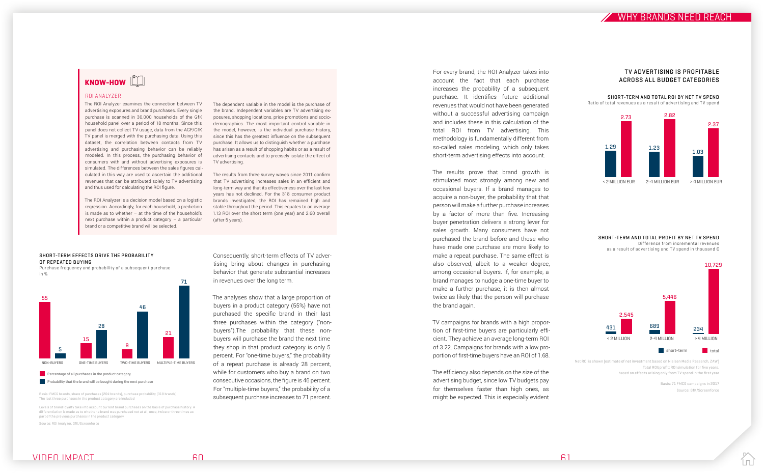

# KNOW-HOW

#### ROI ANALYZER

The ROI Analyzer examines the connection between TV advertising exposures and brand purchases. Every single purchase is scanned in 30,000 households of the GfK household panel over a period of 18 months. Since this panel does not collect TV usage, data from the AGF/GfK TV panel is merged with the purchasing data. Using this dataset, the correlation between contacts from TV advertising and purchasing behavior can be reliably modeled. In this process, the purchasing behavior of consumers with and without advertising exposures is simulated. The differences between the sales figures calculated in this way are used to ascertain the additional revenues that can be attributed solely to TV advertising and thus used for calculating the ROI figure.

The ROI Analyzer is a decision model based on a logistic regression. Accordingly, for each household, a prediction is made as to whether  $-$  at the time of the household's next purchase within a product category – a particular brand or a competitive brand will be selected.

The dependent variable in the model is the purchase of the brand. Independent variables are TV advertising exposures, shopping locations, price promotions and sociodemographics. The most important control variable in the model, however, is the individual purchase history, since this has the greatest influence on the subsequent purchase. It allows us to distinguish whether a purchase has arisen as a result of shopping habits or as a result of advertising contacts and to precisely isolate the effect of TV advertising.

The results from three survey waves since 2011 confirm that TV advertising increases sales in an efficient and long-term way and that its effectiveness over the last few years has not declined. For the 318 consumer product brands investigated, the ROI has remained high and stable throughout the period. This equates to an average 1.13 ROI over the short term (one year) and 2.60 overall (after 5 years).

Consequently, short-term effects of TV advertising bring about changes in purchasing behavior that generate substantial increases in revenues over the long term.

#### SHORT-TERM EFFECTS DRIVE THE PROBABILITY OF REPEATED BUYING

The analyses show that a large proportion of buyers in a product category (55%) have not purchased the specific brand in their last three purchases within the category ("nonbuyers").The probability that these nonbuyers will purchase the brand the next time they shop in that product category is only 5 percent. For "one-time buyers," the probability of a repeat purchase is already 28 percent, while for customers who buy a brand on two consecutive occasions, the figure is 46 percent. For "multiple-time buyers," the probability of a subsequent purchase increases to 71 percent.

SHORT-TERM AND TOTAL PROFIT BY NET TV SPEND Difference from incremental revenues as a result of advertising and TV spend in thousand  $\epsilon$ 

For every brand, the ROI Analyzer takes into account the fact that each purchase increases the probability of a subsequent purchase. It identifies future additional revenues that would not have been generated without a successful advertising campaign and includes these in this calculation of the total ROI from TV advertising. This methodology is fundamentally different from so-called sales modeling, which only takes short-term advertising effects into account.

The results prove that brand growth is stimulated most strongly among new and occasional buyers. If a brand manages to acquire a non-buyer, the probability that that person will make a further purchase increases by a factor of more than five. Increasing buyer penetration delivers a strong lever for sales growth. Many consumers have not purchased the brand before and those who have made one purchase are more likely to make a repeat purchase. The same effect is also observed, albeit to a weaker degree, among occasional buyers. If, for example, a brand manages to nudge a one-time buyer to make a further purchase, it is then almost twice as likely that the person will purchase the brand again.

TV campaigns for brands with a high proportion of first-time buyers are particularly efficient. They achieve an average long-term ROI of 3.22. Campaigns for brands with a low proportion of first-time buyers have an ROI of 1.68.

The efficiency also depends on the size of the advertising budget, since low TV budgets pay for themselves faster than high ones, as might be expected. This is especially evident

Purchase frequency and probability of a subsequent purchase in %



**Percentage of all purchases in the product category** 

**Probability that the brand will be bought during the next purchase** 

Basis: FMCG brands, share of purchases (204 brands), purchase probability (318 brands) The last three purchases in the product category are included

Levels of brand loyalty take into account current brand purchases on the basis of purchase history. A differentiation is made as to whether a brand was purchased not at all, once, twice or three times as part of the previous purchases in the product category

Source: ROI Analyzer, GfK/Screenforce

Net ROI is shown (estimate of net investment based on Nielsen Media Research, ZAW) Total ROI/profit: ROI simulation for five years, based on effects arising only from TV spend in the first year

> Basis: 71 FMCG campaigns in 2017 Source: GfK/Screenforce

> > l mil



SHORT-TERM AND TOTAL ROI BY NET TV SPEND Ratio of total revenues as a result of advertising and TV spend

#### TV ADVERTISING IS PROFITABLE ACROSS ALL BUDGET CATEGORIES

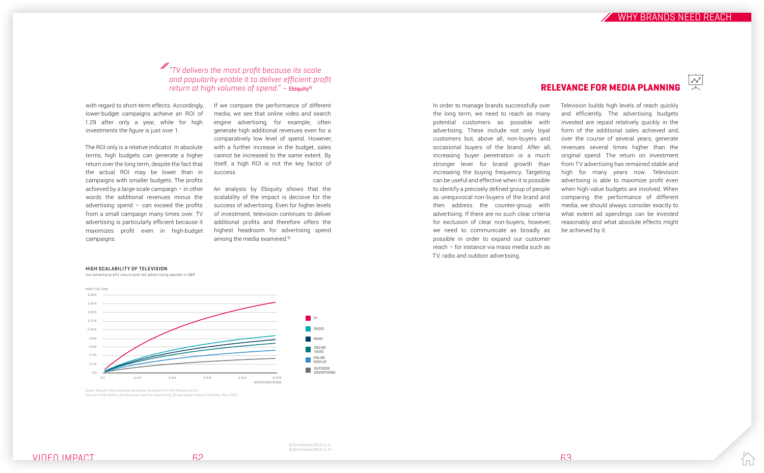In order to manage brands successfully over

the long term, we need to reach as many potential customers as possible with advertising. These include not only loyal customers but, above all, non-buyers and occasional buyers of the brand. After all, increasing buyer penetration is a much stronger lever for brand growth than increasing the buying frequency. Targeting can be useful and effective when it is possible to identify a precisely defined group of people as unequivocal non-buyers of the brand and then address the counter-group with advertising. If there are no such clear criteria for exclusion of clear non-buyers, however, we need to communicate as broadly as possible in order to expand our customer reach – for instance via mass media such as TV, radio and outdoor advertising.

# RELEVANCE FOR MEDIA PLANNING

#### HIGH SCALABILITY OF TELEVISION

Incremental profit return and net advertising spends in GBP

Basis: Ebiquity ROI campaign database. Example from the finance sector. Source: Profit Ability; the business case for advertising, Ebiquity/Gain Theory/Thinkbox, Nov. 2017

An analysis by Ebiquity shows that the scalability of the impact is decisive for the success of advertising. Even for higher levels of investment, television continues to deliver additional profits and therefore offers the highest headroom for advertising spend among the media examined.<sup>9)</sup>

# $\mathbb Z$  "TV delivers the most profit because its scale and popularity enable it to deliver efficient profit return at high volumes of spend."  $-$  Ebiquity<sup>8)</sup>

with regard to short-term effects. Accordingly, lower-budget campaigns achieve an ROI of 1.29 after only a year, while for high investments the figure is just over 1.

The ROI only is a relative indicator. In absolute terms, high budgets can generate a higher return over the long term, despite the fact that the actual ROI may be lower than in campaigns with smaller budgets. The profits achieved by a large-scale campaign – in other words the additional revenues minus the advertising spend  $-$  can exceed the profits from a small campaign many times over. TV advertising is particularly efficient because it maximizes profit even in high-budget campaigns.

If we compare the performance of different media, we see that online video and search engine advertising, for example, often generate high additional revenues even for a comparatively low level of spend. However, with a further increase in the budget, sales cannot be increased to the same extent. By itself, a high ROI is not the key factor of success.



Television builds high levels of reach quickly and efficiently. The advertising budgets invested are repaid relatively quickly in the form of the additional sales achieved and, over the course of several years, generate revenues several times higher than the original spend. The return on investment from TV advertising has remained stable and high for many years now. Television advertising is able to maximize profit even when high-value budgets are involved. When comparing the performance of different media, we should always consider exactly to what extent ad spendings can be invested reasonably and what absolute effects might be achieved by it.

8) See Ebiquity (2017), p. 4 9) See Ebiquity (2017), p. 14



WHY BRANDS NFFD RFACH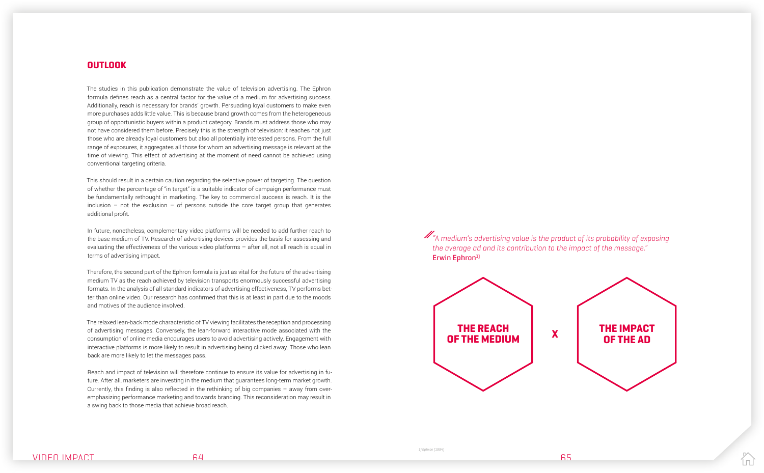# **OUTLOOK**

The studies in this publication demonstrate the value of television advertising. The Ephron formula defines reach as a central factor for the value of a medium for advertising success. Additionally, reach is necessary for brands' growth. Persuading loyal customers to make even more purchases adds little value. This is because brand growth comes from the heterogeneous group of opportunistic buyers within a product category. Brands must address those who may not have considered them before. Precisely this is the strength of television: it reaches not just those who are already loyal customers but also all potentially interested persons. From the full range of exposures, it aggregates all those for whom an advertising message is relevant at the time of viewing. This effect of advertising at the moment of need cannot be achieved using conventional targeting criteria.

This should result in a certain caution regarding the selective power of targeting. The question of whether the percentage of "in target" is a suitable indicator of campaign performance must be fundamentally rethought in marketing. The key to commercial success is reach. It is the inclusion – not the exclusion – of persons outside the core target group that generates additional profit.

In future, nonetheless, complementary video platforms will be needed to add further reach to the base medium of TV. Research of advertising devices provides the basis for assessing and evaluating the effectiveness of the various video platforms – after all, not all reach is equal in terms of advertising impact.

Therefore, the second part of the Ephron formula is just as vital for the future of the advertising medium TV as the reach achieved by television transports enormously successful advertising formats. In the analysis of all standard indicators of advertising effectiveness, TV performs better than online video. Our research has confirmed that this is at least in part due to the moods and motives of the audience involved.

The relaxed lean-back mode characteristic of TV viewing facilitates the reception and processing of advertising messages. Conversely, the lean-forward interactive mode associated with the consumption of online media encourages users to avoid advertising actively. Engagement with interactive platforms is more likely to result in advertising being clicked away. Those who lean back are more likely to let the messages pass.

Reach and impact of television will therefore continue to ensure its value for advertising in future. After all, marketers are investing in the medium that guarantees long-term market growth. Currently, this finding is also reflected in the rethinking of big companies – away from overemphasizing performance marketing and towards branding. This reconsideration may result in a swing back to those media that achieve broad reach.

 $\mathscr{M}_{\mathscr{A}}$  medium's advertising value is the product of its probability of exposing the average ad and its contribution to the impact of the message." Erwin Ephron<sup>1</sup>







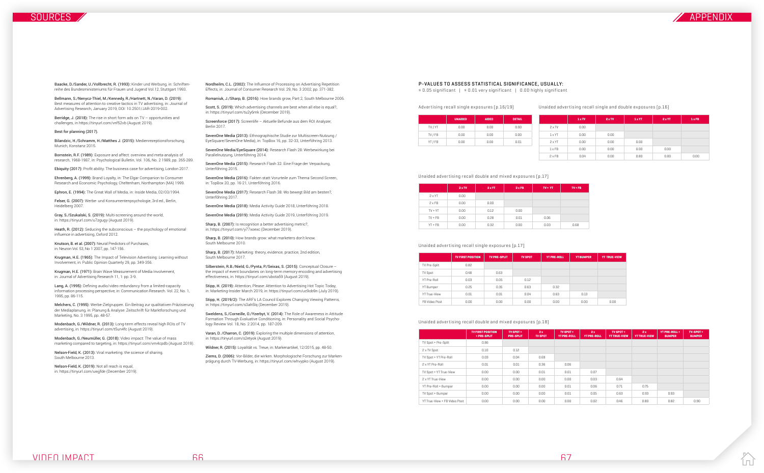

Baacke, D./Sander, U./Vollbrecht, R. (1993): Kinder und Werbung, in: Schriftenreihe des Bundesministeriums für Frauen und Jugend Vol.12, Stuttgart 1993.

Berridge, J. (2018): The rise in short form ads on TV - opportunities and challenges, in https://tinyurl.com/vnf52vb (August 2019).

Bellmann, S./Nenycz-Thiel, M./Kennedy, R./Hartnett, N./Varan, D. (2019): Best measures of attention to creative tactics in TV advertising, in: Journal of Advertising Research, January 2019, DOI: 10.2501/JAR-2019-002.

#### Best for planning (2017).

Bilandzic, H./Schramm, H./Matthes J. (2015): Medienrezeptionsforschung, Munich, Konstanz 2015.

Bornstein, R.F. (1989): Exposure and affect: overview and meta-analysis of research, 1968-1987, in: Psychological Bulletin, Vol. 106, No. 2 1989, pp. 265-289.

Ebiquity (2017): Profit ability. The business case for advertising, London 2017.

Ehrenberg, A. (1999): Brand Loyalty, in: The Elgar Companion to Consumer Research and Economic Psychology, Cheltenham, Northampton (MA) 1999.

Ephron, E. (1994): The Great Wall of Media, in: Inside Media, 02/03/1994.

Felser, G. (2007): Werbe- und Konsumentenpsychologie, 3rd ed., Berlin, Heidelberg 2007.

Gray, S./Szukalski, S. (2019): Multi-screening around the world, in: https://tinyurl.com/u7zgugy (August 2019).

Heath, R. (2012): Seducing the subconscious – the psychology of emotional influence in advertising, Oxford 2012.

Knutson, B. et al. (2007): Neural Predictors of Purchases, in: Neuron Vol. 53, No 1 2007, pp. 147-156.

Krugman, H.E. (1965): The Impact of Television Advertising: Learning without Involvement, in: Public Opinion Quarterly 29, pp. 349-356.

Krugman, H.E. (1971): Brain Wave Measurement of Media Involvement, in: Journal of Advertising Research 11, 1: pp. 3-9.

Lang, A. (1995): Defining audio/video redundancy from a limited-capacity information processing perspective, in: Communication Research. Vol. 22, No. 1, 1995, pp. 86-115.

Melchers, C. (1995): Werbe-Zielgruppen. Ein Beitrag zur qualitativen Präzisierung der Mediaplanung, in: Planung & Analyse: Zeitschrift für Marktforschung und Marketing, No. 3 1995, pp. 48-57.

Modenbach, G./Wildner, R. (2013): Long-term effects reveal high ROIs of TV advertising, in: https://tinyurl.com/t5un4fc (August 2019).

Modenbach, G./Neumüller, G. (2018): Video impact: The value of mass marketing compared to targeting, in: https://tinyurl.com/vm4cpdb (August 2019).

Nelson-Field, K. (2013): Viral marketing: the science of sharing. South Melbourne 2013.

Nelson-Field, K. (2019): Not all reach is equal, in: https://tinyurl.com/uwjjfde (December 2019).

Nordheilm, C.L. (2002): The Influence of Processing on Advertising Repetition Effects, in: Journal of Consumer Research Vol. 29, No. 3 2002, pp. 371-382.

Romaniuk, J./Sharp, B. (2016): How brands grow, Part 2, South Melbourne 2006.

Scott, S. (2019): Which advertising channels are best when all else is equal?, in: https://tinyurl.com/tu2y6mk (December 2019).

Screenforce (2017): Screenlife – Aktuelle Befunde aus dem ROI Analyzer, Berlin 2017.

SevenOne Media (2013): Ethnographische Studie zur Multiscreen-Nutzung / EyeSquare/SevenOne Media), in: TopBox 16, pp. 32-33, Unterföhring 2013.

SevenOne Media/EyeSquare (2014): Research Flash 28: Werbewirkung bei Parallelnutzung, Unterföhring 2014.

SevenOne Media (2015): Research Flash 32: Eine Frage der Verpackung, Unterföhring 2015.

SevenOne Media (2016): Fakten statt Vorurteile zum Thema Second Screen, in: TopBox 20, pp. 16-21, Unterföhring 2016.

SevenOne Media (2017): Research Flash 38: Wo bewegt Bild am besten?, Unterföhring 2017.

SevenOne Media (2018): Media Activity Guide 2018, Unterföhring 2018.

SevenOne Media (2019): Media Activity Guide 2019, Unterföhring 2019.

Sharp, B. (2007): Is recognition a better advertising metric?, in: https://tinyurl.com/y77xoexc (December 2019).

Sharp, B. (2010): How brands grow: what marketers don't know. South Melbourne 2010.

Sharp, B. (2017): Marketing: theory, evidence, practice, 2nd edition, South Melbourne 2017.

Silberstein, R.B./Nield, G./Pynta, P./Seixas, S. (2015): Conceptual Closure – the impact of event boundaries on long-term memory encoding and advertising effectiveness, in: https://tinyurl.com/ubota59 (August 2019).

Stipp, H. (2019): Attention, Please: Attention to Advertising Hot Topic Today, in: Marketing-Insider March 2019, in: https://tinyurl.com/uc9ob9n (July 2019).

Stipp, H. (2019/2): The ARF's LA Council Explores Changing Viewing Patterns, in: https://tinyurl.com/s3ah5lq (December 2019).

Sweldens, S./Corneille, O./Yzerbyt, V. (2014): The Role of Awareness in Attitude Formation Through Evaluative Conditioning, in: Personality and Social Psychology Review Vol. 18, No. 2 2014, pp. 187-209.

Varan, D. /Charron, C. (2019): Exploring the multiple dimensions of attention, in: https://tinyurl.com/s2etyok (August 2019).

Wildner, R. (2015): Loyalität vs. Treue, in: Markenartikel, 12/2015, pp. 48-50.

Ziems, D. (2006): Vor-Bilder, die wirken. Morphologische Forschung zur Markenprägung durch TV-Werbung, in: https://tinyurl.com/whvypko (August 2019).

#### Advertising recall single exposures (p.16/19) Unaided advertising recall single and double exposures (p.16)

#### P-VALUES TO ASSESS STATISTICAL SIGNIFICANCE, USUALLY:

≤ 0.05 significant | ≤ 0.01 very significant | 0.00 highly significant

|         | <b>UNAIDED</b> | <b>AIDED</b> | <b>DETAIL</b> |  |
|---------|----------------|--------------|---------------|--|
| TV / YT | 0.00           | 0.00         | 0.00          |  |
| TV / FB | 0.00           | 0.00         | 0.00          |  |
| YT / FB | 0.00           | 0.00         | 0.01          |  |

|               | 1xTV     |
|---------------|----------|
| 2 x TV        | 0.00     |
| 1 x YT        | 0.00     |
| 2 x YT        | 0.00     |
| $1 \times$ FR | 0.00     |
| $2 \times FB$ | Ц<br>n.n |

|               | 1xTV | 2xTV | 1 x YT | 2xYT | 1xFB |
|---------------|------|------|--------|------|------|
| $2 \times TV$ | 0.00 |      |        |      |      |
| $1 \times YT$ | 0.00 | 0.00 |        |      |      |
| $2 \times YT$ | 0.00 | 0.00 | 0.00   |      |      |
| $1 \times$ FB | 0.00 | 0.00 | 0.00   | 0.00 |      |
| $2 \times FB$ | 0.04 | 0.00 | 0.80   | 0.00 | 0.00 |

|               | $2 \times TV$ | $2 \times YT$ | 2xFB | $TV + VT$ | $TV + FB$ |
|---------------|---------------|---------------|------|-----------|-----------|
| $2 \times YT$ | 0.00          |               |      |           |           |
| $2 \times FB$ | 0.00          | 0.00          |      |           |           |
| $TV + YT$     | 0.00          | 0.12          | 0.00 |           |           |
| $TV + FB$     | 0.00          | 0.28          | 0.01 | 0.06      |           |
| $YT + FB$     | 0.00          | 0.32          | 0.00 | 0.03      | 0.68      |

#### Unaided advertising recall double and mixed exposures (p.17)

|                  | <b>TV FIRST POSITION</b> | <b>TV PRE-SPLIT</b> | <b>TV SPOT</b> | <b>YT PRE-ROLL</b> | <b>YT BUMPER</b> | <b>YT TRUE-VIEW</b> |
|------------------|--------------------------|---------------------|----------------|--------------------|------------------|---------------------|
| TV Pre-Split     | 0.82                     |                     |                |                    |                  |                     |
| <b>TV Spot</b>   | 0.48                     | 0.63                |                |                    |                  |                     |
| YT Pre-Roll      | 0.03                     | 0.05                | 0.12           |                    |                  |                     |
| <b>YT Bumper</b> | 0.25                     | 0.35                | 0.63           | 0.32               |                  |                     |
| YT True-View     | 0.01                     | 0.01                | 0.04           | 0.63               | 0.13             |                     |
| FB Video Post    | 0.00                     | 0.00                | 0.00           | 0.00               | 0.00             | 0.00                |

#### Unaided advertising recall single exposures (p.17)

|                              | <b>TV FIRST POSITION</b><br>+ PRE-SPLIT | TV SPOT+<br><b>PRE-SPLIT</b> | 2x<br><b>TV SPOT</b> | TV SPOT+<br><b>YT PRE-ROLL</b> | 2x<br><b>YT PRE-ROLL</b> | TV SPOT +<br><b>YT TRUE-VIEW</b> | 2x<br><b>YT TRUE-VIEW</b> | YT PRE-ROLL +<br><b>BUMPER</b> | TV-SPOT+<br><b>BUMPER</b> |
|------------------------------|-----------------------------------------|------------------------------|----------------------|--------------------------------|--------------------------|----------------------------------|---------------------------|--------------------------------|---------------------------|
| TV Spot + Pre-Split          | 0.86                                    |                              |                      |                                |                          |                                  |                           |                                |                           |
| 2 x TV Spot                  | 0.10                                    | 0.12                         |                      |                                |                          |                                  |                           |                                |                           |
| TV Spot + YT Pre-Roll        | 0.03                                    | 0.04                         | 0.69                 |                                |                          |                                  |                           |                                |                           |
| 2 x YT Pre-Roll              | 0.01                                    | 0.01                         | 0.36                 | 0.06                           |                          |                                  |                           |                                |                           |
| TV Spot + YT True-View       | 0.00                                    | 0.00                         | 0.01                 | 0.01                           | 0.07                     |                                  |                           |                                |                           |
| 2 x YT True-View             | 0.00                                    | 0.00                         | 0.00                 | 0.00                           | 0.03                     | 0.64                             |                           |                                |                           |
| YT Pre-Roll + Bumper         | 0.00                                    | 0.00                         | 0.00                 | 0.01                           | 0.06                     | 0.71                             | 0.75                      |                                |                           |
| TV Spot + Bumper             | 0.00                                    | 0.00                         | 0.00                 | 0.01                           | 0.05                     | 0.63                             | 0.93                      | 0.93                           |                           |
| YT True-View + FB Video Post | 0.00                                    | 0.00                         | 0.00                 | 0.00                           | 0.02                     | 0.46                             | 0.80                      | 0.82                           | 0.90                      |

#### Unaided advertising recall double and mixed exposures (p.18)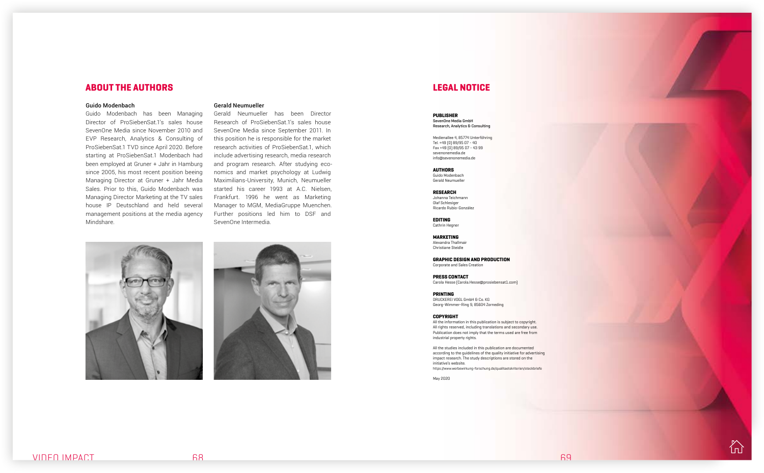#### Guido Modenbach

Guido Modenbach has been Managing Director of ProSiebenSat.1's sales house SevenOne Media since November 2010 and EVP Research, Analytics & Consulting of ProSiebenSat.1 TVD since April 2020. Before starting at ProSiebenSat.1 Modenbach had been employed at Gruner + Jahr in Hamburg since 2005, his most recent position beeing Managing Director at Gruner + Jahr Media Sales. Prior to this, Guido Modenbach was Managing Director Marketing at the TV sales house IP Deutschland and held several management positions at the media agency Mindshare.

# ABOUT THE AUTHORS

#### Gerald Neumueller

Gerald Neumueller has been Director Research of ProSiebenSat.1's sales house SevenOne Media since September 2011. In this position he is responsible for the market research activities of ProSiebenSat.1, which include advertising research, media research and program research. After studying economics and market psychology at Ludwig Maximilians-University, Munich, Neumueller started his career 1993 at A.C. Nielsen, Frankfurt. 1996 he went as Marketing Manager to MGM, MediaGruppe Muenchen. Further positions led him to DSF and SevenOne Intermedia.





#### PUBLISHER SevenOne Media GmbH Research, Analytics & Consulting

Medienallee 4, 85774 Unterföhring Tel. +49 (0) 89/95 07 - 40 Fax +49 (0) 89/95 07 - 43 99 sevenonemedia.de info@sevenonemedia.de

#### AUTHORS

Guido Modenbach Gerald Neumueller

#### RESEARCH

Johanna Teichmann Olaf Schlesiger Ricardo Rubio-González

EDITING Cathrin Hegner

#### MARKETING

Alexandra Thallmair Christiane Steidle

GRAPHIC DESIGN AND PRODUCTION

Corporate and Sales Creation

PRESS CONTACT Carola Hesse (Carola.Hesse@prosiebensat1.com)

#### PRINTING

DRUCKEREI VOGL GmbH & Co. KG Georg-Wimmer-Ring 9, 85604 Zorneding

#### COPYRIGHT

All the information in this publication is subject to copyright. All rights reserved, including translations and secondary use. Publication does not imply that the terms used are free from industrial property rights.

All the studies included in this publication are documented according to the guidelines of the quality initiative for advertising impact research. The study descriptions are stored on the initiative's website. https://www.werbewirkung-forschung.de/qualitaetskriterien/steckbriefe

May 2020



## LEGAL NOTICE